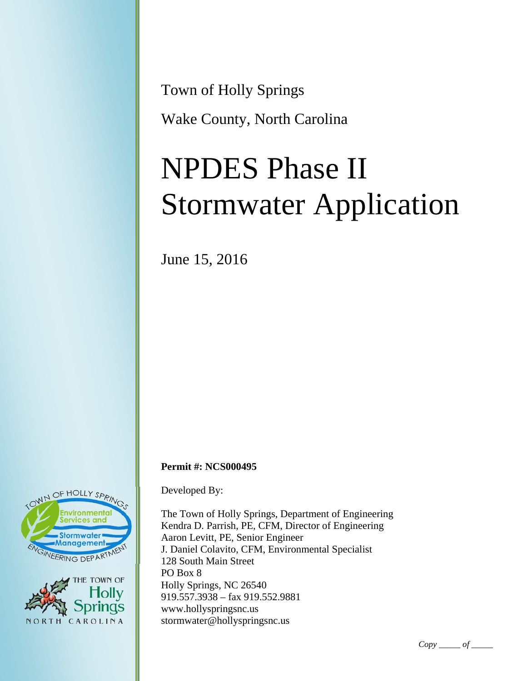Town of Holly Springs Wake County, North Carolina

# NPDES Phase II Stormwater Application

June 15, 2016

### **Permit #: NCS000495**

Developed By:

The Town of Holly Springs, Department of Engineering Kendra D. Parrish, PE, CFM, Director of Engineering Aaron Levitt, PE, Senior Engineer J. Daniel Colavito, CFM, Environmental Specialist 128 South Main Street PO Box 8 Holly Springs, NC 26540 919.557.3938 – fax 919.552.9881 www.hollyspringsnc.us stormwater@hollyspringsnc.us



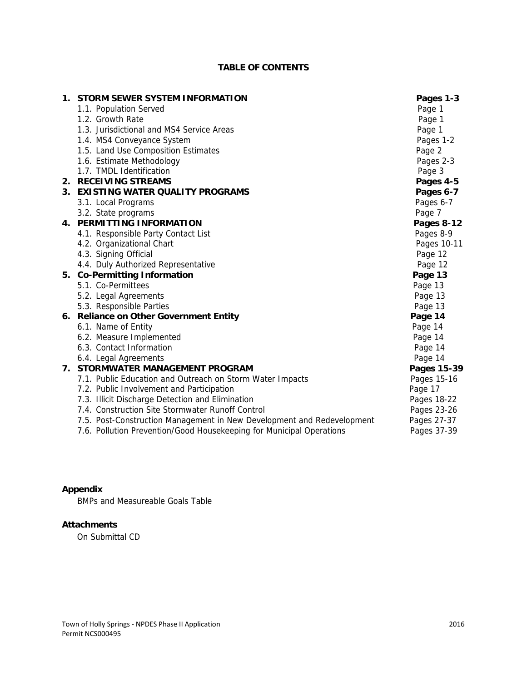## **TABLE OF CONTENTS**

| 1. | STORM SEWER SYSTEM INFORMATION                                         | Pages 1-3   |
|----|------------------------------------------------------------------------|-------------|
|    | 1.1. Population Served                                                 | Page 1      |
|    | 1.2. Growth Rate                                                       | Page 1      |
|    | 1.3. Jurisdictional and MS4 Service Areas                              | Page 1      |
|    | 1.4. MS4 Conveyance System                                             | Pages 1-2   |
|    | 1.5. Land Use Composition Estimates                                    | Page 2      |
|    | 1.6. Estimate Methodology                                              | Pages 2-3   |
|    | 1.7. TMDL Identification                                               | Page 3      |
|    | 2. RECEIVING STREAMS                                                   | Pages 4-5   |
|    | 3. EXISTING WATER QUALITY PROGRAMS                                     | Pages 6-7   |
|    | 3.1. Local Programs                                                    | Pages 6-7   |
|    | 3.2. State programs                                                    | Page 7      |
|    | 4. PERMITTING INFORMATION                                              | Pages 8-12  |
|    | 4.1. Responsible Party Contact List                                    | Pages 8-9   |
|    | 4.2. Organizational Chart                                              | Pages 10-11 |
|    | 4.3. Signing Official                                                  | Page 12     |
|    | 4.4. Duly Authorized Representative                                    | Page 12     |
|    | 5. Co-Permitting Information                                           | Page 13     |
|    | 5.1. Co-Permittees                                                     | Page 13     |
|    | 5.2. Legal Agreements                                                  | Page 13     |
|    | 5.3. Responsible Parties                                               | Page 13     |
|    | 6. Reliance on Other Government Entity                                 | Page 14     |
|    | 6.1. Name of Entity                                                    | Page 14     |
|    | 6.2. Measure Implemented                                               | Page 14     |
|    | 6.3. Contact Information                                               | Page 14     |
|    | 6.4. Legal Agreements                                                  | Page 14     |
|    | 7. STORMWATER MANAGEMENT PROGRAM                                       | Pages 15-39 |
|    | 7.1. Public Education and Outreach on Storm Water Impacts              | Pages 15-16 |
|    | 7.2. Public Involvement and Participation                              | Page 17     |
|    | 7.3. Illicit Discharge Detection and Elimination                       | Pages 18-22 |
|    | 7.4. Construction Site Stormwater Runoff Control                       | Pages 23-26 |
|    | 7.5. Post-Construction Management in New Development and Redevelopment | Pages 27-37 |
|    | 7.6. Pollution Prevention/Good Housekeeping for Municipal Operations   | Pages 37-39 |

# **Appendix**

BMPs and Measureable Goals Table

## **Attachments**

On Submittal CD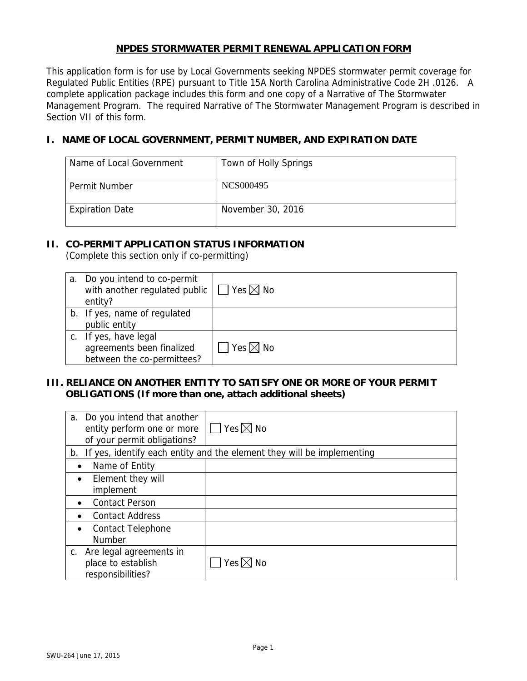## **NPDES STORMWATER PERMIT RENEWAL APPLICATION FORM**

This application form is for use by Local Governments seeking NPDES stormwater permit coverage for Regulated Public Entities (RPE) pursuant to Title 15A North Carolina Administrative Code 2H .0126. A complete application package includes this form and one copy of a Narrative of The Stormwater Management Program. The required Narrative of The Stormwater Management Program is described in Section VII of this form.

# **I. NAME OF LOCAL GOVERNMENT, PERMIT NUMBER, AND EXPIRATION DATE**

| Name of Local Government | Town of Holly Springs |
|--------------------------|-----------------------|
| Permit Number            | NCS000495             |
| <b>Expiration Date</b>   | November 30, 2016     |

## **II. CO-PERMIT APPLICATION STATUS INFORMATION**

(Complete this section only if co-permitting)

| a. Do you intend to co-permit<br>with another regulated public<br>entity?        | $\sqcap$ Yes $\boxtimes$ No |
|----------------------------------------------------------------------------------|-----------------------------|
| b. If yes, name of regulated<br>public entity                                    |                             |
| c. If yes, have legal<br>agreements been finalized<br>between the co-permittees? | $\sqcap$ Yes $\boxtimes$ No |

## **III. RELIANCE ON ANOTHER ENTITY TO SATISFY ONE OR MORE OF YOUR PERMIT OBLIGATIONS (If more than one, attach additional sheets)**

| a. Do you intend that another<br>entity perform one or more<br>of your permit obligations? | $\Box$ Yes $\boxtimes$ No                                                 |
|--------------------------------------------------------------------------------------------|---------------------------------------------------------------------------|
|                                                                                            | b. If yes, identify each entity and the element they will be implementing |
| Name of Entity                                                                             |                                                                           |
| Element they will                                                                          |                                                                           |
| implement                                                                                  |                                                                           |
| <b>Contact Person</b>                                                                      |                                                                           |
| <b>Contact Address</b>                                                                     |                                                                           |
| <b>Contact Telephone</b>                                                                   |                                                                           |
| <b>Number</b>                                                                              |                                                                           |
| c. Are legal agreements in                                                                 |                                                                           |
| place to establish                                                                         | $\forall$ es $\boxtimes$ No                                               |
| responsibilities?                                                                          |                                                                           |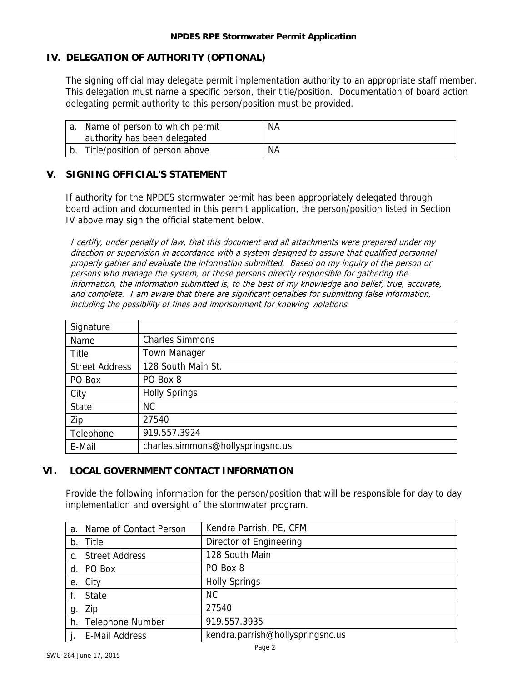## **IV. DELEGATION OF AUTHORITY (OPTIONAL)**

The signing official may delegate permit implementation authority to an appropriate staff member. This delegation must name a specific person, their title/position. Documentation of board action delegating permit authority to this person/position must be provided.

| Name of person to which permit<br>authority has been delegated | NА |
|----------------------------------------------------------------|----|
| Title/position of person above                                 | ΝA |

## **V. SIGNING OFFICIAL'S STATEMENT**

If authority for the NPDES stormwater permit has been appropriately delegated through board action and documented in this permit application, the person/position listed in Section IV above may sign the official statement below.

I certify, under penalty of law, that this document and all attachments were prepared under my direction or supervision in accordance with a system designed to assure that qualified personnel properly gather and evaluate the information submitted. Based on my inquiry of the person or persons who manage the system, or those persons directly responsible for gathering the information, the information submitted is, to the best of my knowledge and belief, true, accurate, and complete. I am aware that there are significant penalties for submitting false information, including the possibility of fines and imprisonment for knowing violations.

| Signature             |                                   |
|-----------------------|-----------------------------------|
| Name                  | <b>Charles Simmons</b>            |
| Title                 | <b>Town Manager</b>               |
| <b>Street Address</b> | 128 South Main St.                |
| PO Box                | PO Box 8                          |
| City                  | <b>Holly Springs</b>              |
| <b>State</b>          | <b>NC</b>                         |
| Zip                   | 27540                             |
| Telephone             | 919.557.3924                      |
| E-Mail                | charles.simmons@hollyspringsnc.us |

## **VI. LOCAL GOVERNMENT CONTACT INFORMATION**

Provide the following information for the person/position that will be responsible for day to day implementation and oversight of the stormwater program.

|    | a. Name of Contact Person | Kendra Parrish, PE, CFM          |
|----|---------------------------|----------------------------------|
|    | b. Title                  | Director of Engineering          |
|    | c. Street Address         | 128 South Main                   |
|    | d. PO Box                 | PO Box 8                         |
|    | e. City                   | <b>Holly Springs</b>             |
|    | f. State                  | NC.                              |
| g. | Zip                       | 27540                            |
|    | h. Telephone Number       | 919.557.3935                     |
|    | <b>E-Mail Address</b>     | kendra.parrish@hollyspringsnc.us |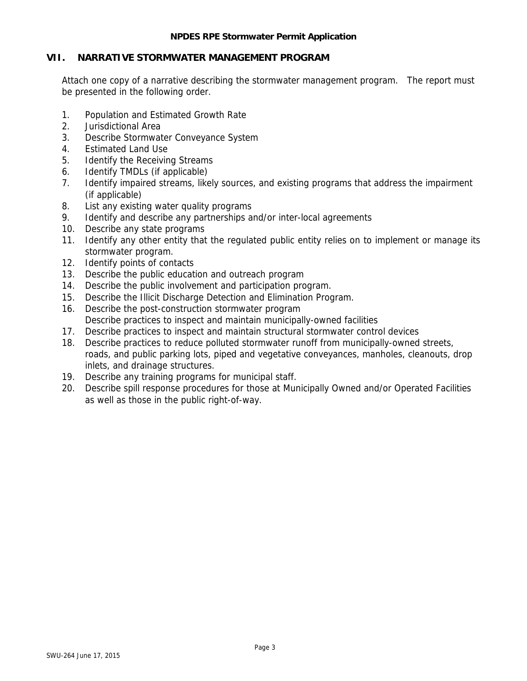#### **NPDES RPE Stormwater Permit Application**

## **VII. NARRATIVE STORMWATER MANAGEMENT PROGRAM**

Attach one copy of a narrative describing the stormwater management program. The report must be presented in the following order.

- 1. Population and Estimated Growth Rate
- 2. Jurisdictional Area
- 3. Describe Stormwater Conveyance System
- 4. Estimated Land Use
- 5. Identify the Receiving Streams
- 6. Identify TMDLs (if applicable)
- 7. Identify impaired streams, likely sources, and existing programs that address the impairment (if applicable)
- 8. List any existing water quality programs
- 9. Identify and describe any partnerships and/or inter-local agreements
- 10. Describe any state programs
- 11. Identify any other entity that the regulated public entity relies on to implement or manage its stormwater program.
- 12. Identify points of contacts
- 13. Describe the public education and outreach program
- 14. Describe the public involvement and participation program.
- 15. Describe the Illicit Discharge Detection and Elimination Program.
- 16. Describe the post-construction stormwater program Describe practices to inspect and maintain municipally-owned facilities
- 17. Describe practices to inspect and maintain structural stormwater control devices
- 18. Describe practices to reduce polluted stormwater runoff from municipally-owned streets, roads, and public parking lots, piped and vegetative conveyances, manholes, cleanouts, drop inlets, and drainage structures.
- 19. Describe any training programs for municipal staff.
- 20. Describe spill response procedures for those at Municipally Owned and/or Operated Facilities as well as those in the public right-of-way.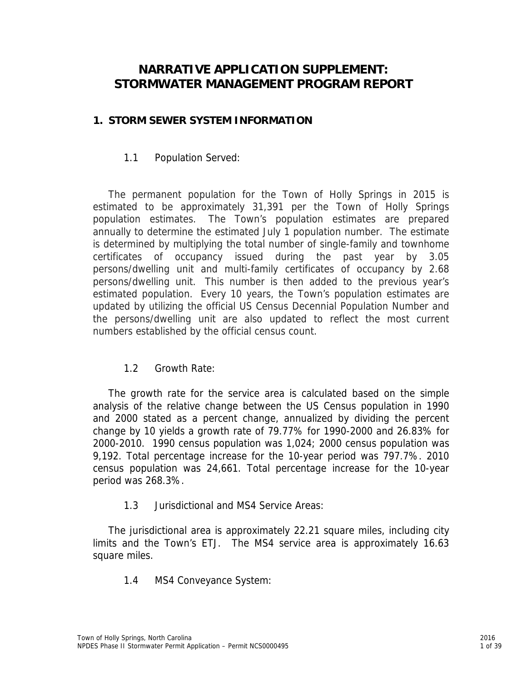# **NARRATIVE APPLICATION SUPPLEMENT: STORMWATER MANAGEMENT PROGRAM REPORT**

# **1. STORM SEWER SYSTEM INFORMATION**

# 1.1 Population Served:

The permanent population for the Town of Holly Springs in 2015 is estimated to be approximately 31,391 per the Town of Holly Springs population estimates. The Town's population estimates are prepared annually to determine the estimated July 1 population number. The estimate is determined by multiplying the total number of single-family and townhome certificates of occupancy issued during the past year by 3.05 persons/dwelling unit and multi-family certificates of occupancy by 2.68 persons/dwelling unit. This number is then added to the previous year's estimated population. Every 10 years, the Town's population estimates are updated by utilizing the official US Census Decennial Population Number and the persons/dwelling unit are also updated to reflect the most current numbers established by the official census count.

# 1.2 Growth Rate:

The growth rate for the service area is calculated based on the simple analysis of the relative change between the US Census population in 1990 and 2000 stated as a percent change, annualized by dividing the percent change by 10 yields a growth rate of 79.77% for 1990-2000 and 26.83% for 2000-2010. 1990 census population was 1,024; 2000 census population was 9,192. Total percentage increase for the 10-year period was 797.7%. 2010 census population was 24,661. Total percentage increase for the 10-year period was 268.3%.

# 1.3 Jurisdictional and MS4 Service Areas:

The jurisdictional area is approximately 22.21 square miles, including city limits and the Town's ETJ. The MS4 service area is approximately 16.63 square miles.

1.4 MS4 Conveyance System: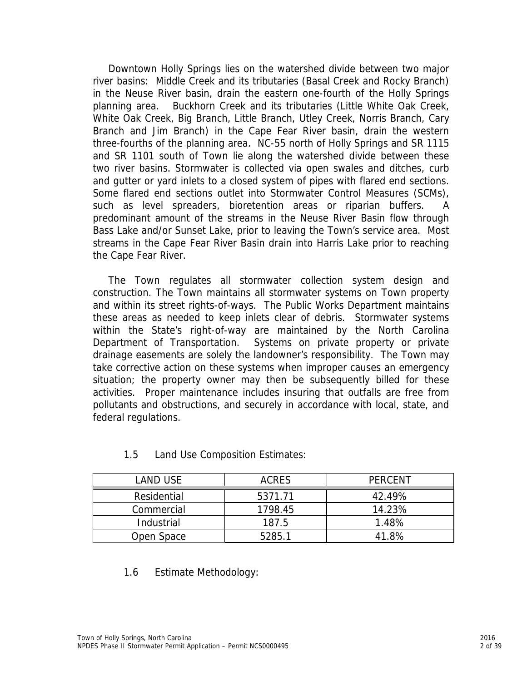Downtown Holly Springs lies on the watershed divide between two major river basins: Middle Creek and its tributaries (Basal Creek and Rocky Branch) in the Neuse River basin, drain the eastern one-fourth of the Holly Springs planning area. Buckhorn Creek and its tributaries (Little White Oak Creek, White Oak Creek, Big Branch, Little Branch, Utley Creek, Norris Branch, Cary Branch and Jim Branch) in the Cape Fear River basin, drain the western three-fourths of the planning area. NC-55 north of Holly Springs and SR 1115 and SR 1101 south of Town lie along the watershed divide between these two river basins. Stormwater is collected via open swales and ditches, curb and gutter or yard inlets to a closed system of pipes with flared end sections. Some flared end sections outlet into Stormwater Control Measures (SCMs), such as level spreaders, bioretention areas or riparian buffers. A predominant amount of the streams in the Neuse River Basin flow through Bass Lake and/or Sunset Lake, prior to leaving the Town's service area. Most streams in the Cape Fear River Basin drain into Harris Lake prior to reaching the Cape Fear River.

The Town regulates all stormwater collection system design and construction. The Town maintains all stormwater systems on Town property and within its street rights-of-ways. The Public Works Department maintains these areas as needed to keep inlets clear of debris. Stormwater systems within the State's right-of-way are maintained by the North Carolina Department of Transportation. Systems on private property or private drainage easements are solely the landowner's responsibility. The Town may take corrective action on these systems when improper causes an emergency situation; the property owner may then be subsequently billed for these activities. Proper maintenance includes insuring that outfalls are free from pollutants and obstructions, and securely in accordance with local, state, and federal regulations.

| LAND USE    | <b>ACRES</b> | PERCENT |  |
|-------------|--------------|---------|--|
| Residential | 5371.71      | 42.49%  |  |
| Commercial  | 1798.45      | 14.23%  |  |
| Industrial  | 187.5        | 1.48%   |  |
| Open Space  | 5285.1       | 41.8%   |  |

1.5 Land Use Composition Estimates:

# 1.6 Estimate Methodology: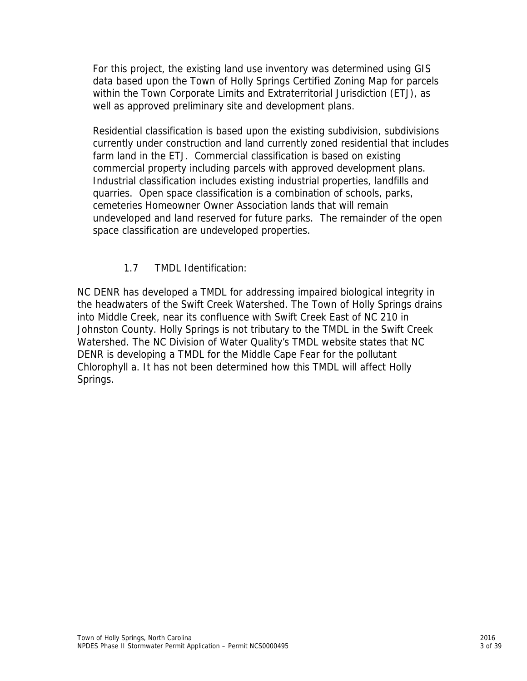For this project, the existing land use inventory was determined using GIS data based upon the Town of Holly Springs Certified Zoning Map for parcels within the Town Corporate Limits and Extraterritorial Jurisdiction (ETJ), as well as approved preliminary site and development plans.

Residential classification is based upon the existing subdivision, subdivisions currently under construction and land currently zoned residential that includes farm land in the ETJ. Commercial classification is based on existing commercial property including parcels with approved development plans. Industrial classification includes existing industrial properties, landfills and quarries. Open space classification is a combination of schools, parks, cemeteries Homeowner Owner Association lands that will remain undeveloped and land reserved for future parks. The remainder of the open space classification are undeveloped properties.

# 1.7 TMDL Identification:

NC DENR has developed a TMDL for addressing impaired biological integrity in the headwaters of the Swift Creek Watershed. The Town of Holly Springs drains into Middle Creek, near its confluence with Swift Creek East of NC 210 in Johnston County. Holly Springs is not tributary to the TMDL in the Swift Creek Watershed. The NC Division of Water Quality's TMDL website states that NC DENR is developing a TMDL for the Middle Cape Fear for the pollutant Chlorophyll a. It has not been determined how this TMDL will affect Holly Springs.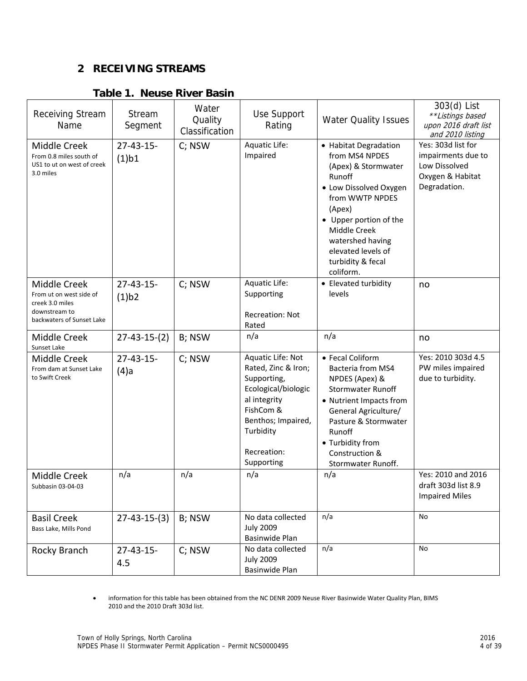# **2 RECEIVING STREAMS**

# **Table 1. Neuse River Basin**

| <b>Receiving Stream</b><br>Name                                                                          | Stream<br>Segment         | Water<br>Quality<br>Classification | Use Support<br>Rating                                                                                                                                                       | <b>Water Quality Issues</b>                                                                                                                                                                                                                           | 303(d) List<br>**Listings based<br>upon 2016 draft list<br>and 2010 listing                   |
|----------------------------------------------------------------------------------------------------------|---------------------------|------------------------------------|-----------------------------------------------------------------------------------------------------------------------------------------------------------------------------|-------------------------------------------------------------------------------------------------------------------------------------------------------------------------------------------------------------------------------------------------------|-----------------------------------------------------------------------------------------------|
| Middle Creek<br>From 0.8 miles south of<br>US1 to ut on west of creek<br>3.0 miles                       | $27 - 43 - 15$<br>(1)b1   | C; NSW                             | Aquatic Life:<br>Impaired                                                                                                                                                   | • Habitat Degradation<br>from MS4 NPDES<br>(Apex) & Stormwater<br>Runoff<br>• Low Dissolved Oxygen<br>from WWTP NPDES<br>(Apex)<br>• Upper portion of the<br>Middle Creek<br>watershed having<br>elevated levels of<br>turbidity & fecal<br>coliform. | Yes: 303d list for<br>impairments due to<br>Low Dissolved<br>Oxygen & Habitat<br>Degradation. |
| Middle Creek<br>From ut on west side of<br>creek 3.0 miles<br>downstream to<br>backwaters of Sunset Lake | $27 - 43 - 15 -$<br>(1)b2 | C; NSW                             | Aquatic Life:<br>Supporting<br><b>Recreation: Not</b><br>Rated                                                                                                              | • Elevated turbidity<br>levels                                                                                                                                                                                                                        | no                                                                                            |
| Middle Creek<br>Sunset Lake                                                                              | $27 - 43 - 15 - (2)$      | B; NSW                             | n/a                                                                                                                                                                         | n/a                                                                                                                                                                                                                                                   | no                                                                                            |
| Middle Creek<br>From dam at Sunset Lake<br>to Swift Creek                                                | $27 - 43 - 15$<br>$(4)$ a | C; NSW                             | Aquatic Life: Not<br>Rated, Zinc & Iron;<br>Supporting,<br>Ecological/biologic<br>al integrity<br>FishCom &<br>Benthos; Impaired,<br>Turbidity<br>Recreation:<br>Supporting | • Fecal Coliform<br>Bacteria from MS4<br>NPDES (Apex) &<br><b>Stormwater Runoff</b><br>• Nutrient Impacts from<br>General Agriculture/<br>Pasture & Stormwater<br>Runoff<br>• Turbidity from<br>Construction &<br>Stormwater Runoff.                  | Yes: 2010 303d 4.5<br>PW miles impaired<br>due to turbidity.                                  |
| Middle Creek<br>Subbasin 03-04-03                                                                        | n/a                       | n/a                                | n/a                                                                                                                                                                         | n/a                                                                                                                                                                                                                                                   | Yes: 2010 and 2016<br>draft 303d list 8.9<br><b>Impaired Miles</b>                            |
| <b>Basil Creek</b><br>Bass Lake, Mills Pond                                                              | $27 - 43 - 15 - (3)$      | B; NSW                             | No data collected<br><b>July 2009</b><br>Basinwide Plan                                                                                                                     | n/a                                                                                                                                                                                                                                                   | No                                                                                            |
| Rocky Branch                                                                                             | $27 - 43 - 15 -$<br>4.5   | C; NSW                             | No data collected<br><b>July 2009</b><br>Basinwide Plan                                                                                                                     | n/a                                                                                                                                                                                                                                                   | No                                                                                            |

 information for this table has been obtained from the NC DENR 2009 Neuse River Basinwide Water Quality Plan, BIMS 2010 and the 2010 Draft 303d list.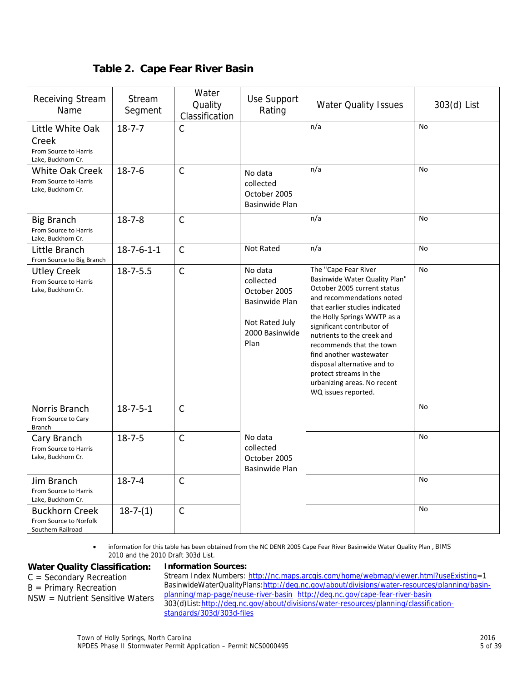|  |  | Table 2. Cape Fear River Basin |
|--|--|--------------------------------|
|--|--|--------------------------------|

| Receiving Stream<br>Name                                                 | Stream<br>Segment    | Water<br>Quality<br>Classification | Use Support<br>Rating                                                                              | <b>Water Quality Issues</b>                                                                                                                                                                                                                                                                                                                                                                                          | 303(d) List |
|--------------------------------------------------------------------------|----------------------|------------------------------------|----------------------------------------------------------------------------------------------------|----------------------------------------------------------------------------------------------------------------------------------------------------------------------------------------------------------------------------------------------------------------------------------------------------------------------------------------------------------------------------------------------------------------------|-------------|
| Little White Oak<br>Creek<br>From Source to Harris<br>Lake, Buckhorn Cr. | $18 - 7 - 7$         | C                                  |                                                                                                    | n/a                                                                                                                                                                                                                                                                                                                                                                                                                  | <b>No</b>   |
| <b>White Oak Creek</b><br>From Source to Harris<br>Lake, Buckhorn Cr.    | $18 - 7 - 6$         | $\mathsf{C}$                       | No data<br>collected<br>October 2005<br>Basinwide Plan                                             | n/a                                                                                                                                                                                                                                                                                                                                                                                                                  | <b>No</b>   |
| <b>Big Branch</b><br>From Source to Harris<br>Lake, Buckhorn Cr.         | $18 - 7 - 8$         | $\mathsf{C}$                       |                                                                                                    | n/a                                                                                                                                                                                                                                                                                                                                                                                                                  | <b>No</b>   |
| Little Branch<br>From Source to Big Branch                               | $18 - 7 - 6 - 1 - 1$ | $\mathsf{C}$                       | Not Rated                                                                                          | n/a                                                                                                                                                                                                                                                                                                                                                                                                                  | No          |
| <b>Utley Creek</b><br>From Source to Harris<br>Lake, Buckhorn Cr.        | $18 - 7 - 5.5$       | $\mathsf{C}$                       | No data<br>collected<br>October 2005<br>Basinwide Plan<br>Not Rated July<br>2000 Basinwide<br>Plan | The "Cape Fear River<br>Basinwide Water Quality Plan"<br>October 2005 current status<br>and recommendations noted<br>that earlier studies indicated<br>the Holly Springs WWTP as a<br>significant contributor of<br>nutrients to the creek and<br>recommends that the town<br>find another wastewater<br>disposal alternative and to<br>protect streams in the<br>urbanizing areas. No recent<br>WQ issues reported. | <b>No</b>   |
| Norris Branch<br>From Source to Cary<br><b>Branch</b>                    | $18 - 7 - 5 - 1$     | $\mathsf{C}$                       |                                                                                                    |                                                                                                                                                                                                                                                                                                                                                                                                                      | No          |
| Cary Branch<br>From Source to Harris<br>Lake, Buckhorn Cr.               | $18 - 7 - 5$         | $\mathsf{C}$                       | No data<br>collected<br>October 2005<br><b>Basinwide Plan</b>                                      |                                                                                                                                                                                                                                                                                                                                                                                                                      | No          |
| Jim Branch<br>From Source to Harris<br>Lake, Buckhorn Cr.                | $18 - 7 - 4$         | $\mathsf{C}$                       |                                                                                                    |                                                                                                                                                                                                                                                                                                                                                                                                                      | No          |
| Buckhorn Creek<br>From Source to Norfolk<br>Southern Railroad            | $18 - 7 - (1)$       | $\mathsf{C}$                       |                                                                                                    |                                                                                                                                                                                                                                                                                                                                                                                                                      | <b>No</b>   |

 information for this table has been obtained from the NC DENR 2005 Cape Fear River Basinwide Water Quality Plan , BIMS 2010 and the 2010 Draft 303d List.

# **Water Quality Classification:**

## **Information Sources:**

C = Secondary Recreation

B = Primary Recreation

NSW = Nutrient Sensitive Waters

Stream Index Numbers: http://nc.maps.arcgis.com/home/webmap/viewer.html?useExisting=1 BasinwideWaterQualityPlans:http://deq.nc.gov/about/divisions/water-resources/planning/basinplanning/map-page/neuse-river-basin http://deq.nc.gov/cape-fear-river-basin 303(d)List:http://deq.nc.gov/about/divisions/water-resources/planning/classificationstandards/303d/303d-files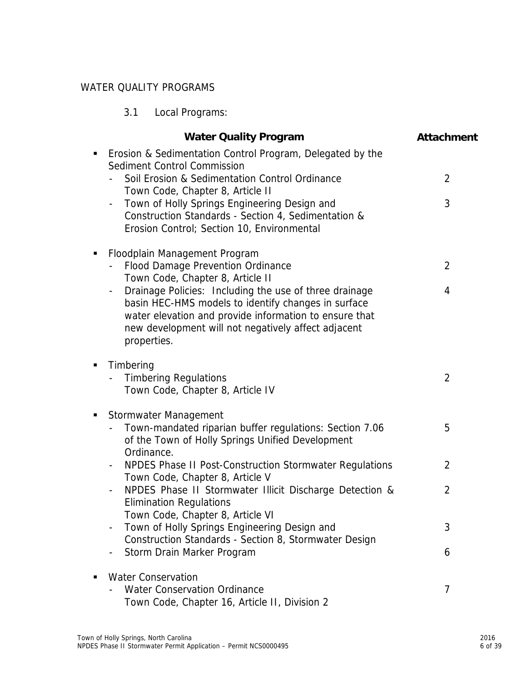# WATER QUALITY PROGRAMS

|   | Local Programs:<br>3.1                                                                                                                                                                                                                                                    |                   |
|---|---------------------------------------------------------------------------------------------------------------------------------------------------------------------------------------------------------------------------------------------------------------------------|-------------------|
|   | <b>Water Quality Program</b>                                                                                                                                                                                                                                              | <b>Attachment</b> |
| п | Erosion & Sedimentation Control Program, Delegated by the<br>Sediment Control Commission                                                                                                                                                                                  | $\overline{2}$    |
|   | Soil Erosion & Sedimentation Control Ordinance<br>Town Code, Chapter 8, Article II                                                                                                                                                                                        |                   |
|   | Town of Holly Springs Engineering Design and<br>-<br>Construction Standards - Section 4, Sedimentation &<br>Erosion Control; Section 10, Environmental                                                                                                                    | 3                 |
| п | Floodplain Management Program<br>Flood Damage Prevention Ordinance                                                                                                                                                                                                        | $\overline{2}$    |
|   | Town Code, Chapter 8, Article II                                                                                                                                                                                                                                          |                   |
|   | Drainage Policies: Including the use of three drainage<br>$\overline{\phantom{a}}$<br>basin HEC-HMS models to identify changes in surface<br>water elevation and provide information to ensure that<br>new development will not negatively affect adjacent<br>properties. | 4                 |
| п | Timbering<br><b>Timbering Regulations</b><br>Town Code, Chapter 8, Article IV                                                                                                                                                                                             | $\overline{2}$    |
|   | Stormwater Management<br>Town-mandated riparian buffer regulations: Section 7.06<br>of the Town of Holly Springs Unified Development<br>Ordinance.                                                                                                                        | 5                 |
|   | NPDES Phase II Post-Construction Stormwater Regulations<br>Town Code, Chapter 8, Article V                                                                                                                                                                                | $\overline{2}$    |
|   | NPDES Phase II Stormwater Illicit Discharge Detection &<br><b>Elimination Regulations</b>                                                                                                                                                                                 | 2                 |
|   | Town Code, Chapter 8, Article VI<br>Town of Holly Springs Engineering Design and<br>Construction Standards - Section 8, Stormwater Design                                                                                                                                 | 3                 |
|   | Storm Drain Marker Program                                                                                                                                                                                                                                                | 6                 |
|   | <b>Water Conservation</b>                                                                                                                                                                                                                                                 |                   |
|   | <b>Water Conservation Ordinance</b>                                                                                                                                                                                                                                       | $\overline{7}$    |

Town Code, Chapter 16, Article II, Division 2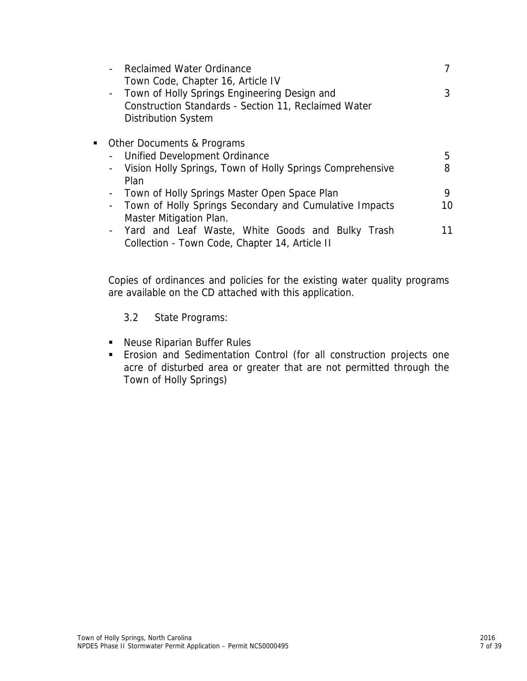| <b>Reclaimed Water Ordinance</b>                                                          |    |
|-------------------------------------------------------------------------------------------|----|
| Town Code, Chapter 16, Article IV                                                         |    |
| Town of Holly Springs Engineering Design and<br>$\blacksquare$                            | 3  |
| Construction Standards - Section 11, Reclaimed Water                                      |    |
| <b>Distribution System</b>                                                                |    |
| Other Documents & Programs                                                                |    |
| Unified Development Ordinance<br>$\overline{\phantom{a}}$                                 | 5  |
| Vision Holly Springs, Town of Holly Springs Comprehensive<br>$\qquad \qquad \blacksquare$ | 8  |
| Plan                                                                                      |    |
| Town of Holly Springs Master Open Space Plan<br>$\overline{\phantom{a}}$                  | 9  |
| Town of Holly Springs Secondary and Cumulative Impacts<br>$\overline{\phantom{a}}$        | 10 |
| Master Mitigation Plan.                                                                   |    |
| Yard and Leaf Waste, White Goods and Bulky Trash<br>$\blacksquare$                        |    |
| Collection - Town Code, Chapter 14, Article II                                            |    |

Copies of ordinances and policies for the existing water quality programs are available on the CD attached with this application.

# 3.2 State Programs:

- **Neuse Riparian Buffer Rules**
- Erosion and Sedimentation Control (for all construction projects one acre of disturbed area or greater that are not permitted through the Town of Holly Springs)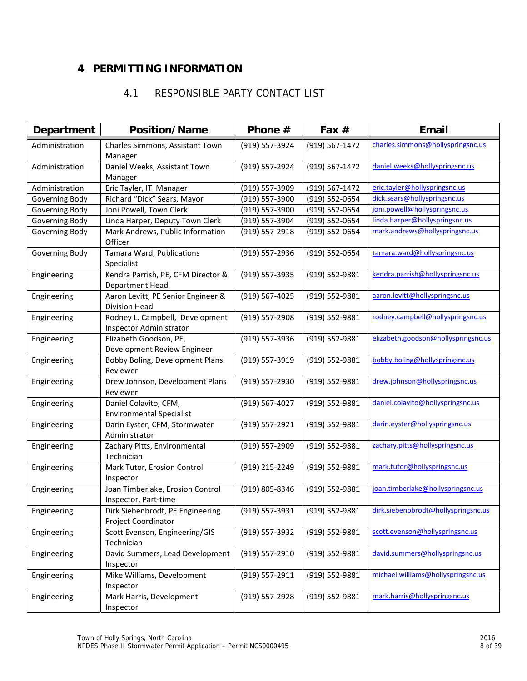# **4 PERMITTING INFORMATION**

# 4.1 RESPONSIBLE PARTY CONTACT LIST

| Department     | <b>Position/Name</b>                                       | Phone #        | Fax $#$        | <b>Email</b>                        |
|----------------|------------------------------------------------------------|----------------|----------------|-------------------------------------|
| Administration | Charles Simmons, Assistant Town                            | (919) 557-3924 | (919) 567-1472 | charles.simmons@hollyspringsnc.us   |
|                | Manager                                                    |                |                |                                     |
| Administration | Daniel Weeks, Assistant Town<br>Manager                    | (919) 557-2924 | (919) 567-1472 | daniel.weeks@hollyspringsnc.us      |
| Administration | Eric Tayler, IT Manager                                    | (919) 557-3909 | (919) 567-1472 | eric.tayler@hollyspringsnc.us       |
| Governing Body | Richard "Dick" Sears, Mayor                                | (919) 557-3900 | (919) 552-0654 | dick.sears@hollyspringsnc.us        |
| Governing Body | Joni Powell, Town Clerk                                    | (919) 557-3900 | (919) 552-0654 | joni.powell@hollyspringsnc.us       |
| Governing Body | Linda Harper, Deputy Town Clerk                            | (919) 557-3904 | (919) 552-0654 | linda.harper@hollyspringsnc.us      |
| Governing Body | Mark Andrews, Public Information<br>Officer                | (919) 557-2918 | (919) 552-0654 | mark.andrews@hollyspringsnc.us      |
| Governing Body | Tamara Ward, Publications<br>Specialist                    | (919) 557-2936 | (919) 552-0654 | tamara.ward@hollyspringsnc.us       |
| Engineering    | Kendra Parrish, PE, CFM Director &<br>Department Head      | (919) 557-3935 | (919) 552-9881 | kendra.parrish@hollyspringsnc.us    |
| Engineering    | Aaron Levitt, PE Senior Engineer &<br><b>Division Head</b> | (919) 567-4025 | (919) 552-9881 | aaron.levitt@hollyspringsnc.us      |
| Engineering    | Rodney L. Campbell, Development<br>Inspector Administrator | (919) 557-2908 | (919) 552-9881 | rodney.campbell@hollyspringsnc.us   |
| Engineering    | Elizabeth Goodson, PE,<br>Development Review Engineer      | (919) 557-3936 | (919) 552-9881 | elizabeth.goodson@hollyspringsnc.us |
| Engineering    | Bobby Boling, Development Plans<br>Reviewer                | (919) 557-3919 | (919) 552-9881 | bobby.boling@hollyspringsnc.us      |
| Engineering    | Drew Johnson, Development Plans<br>Reviewer                | (919) 557-2930 | (919) 552-9881 | drew.johnson@hollyspringsnc.us      |
| Engineering    | Daniel Colavito, CFM,<br><b>Environmental Specialist</b>   | (919) 567-4027 | (919) 552-9881 | daniel.colavito@hollyspringsnc.us   |
| Engineering    | Darin Eyster, CFM, Stormwater<br>Administrator             | (919) 557-2921 | (919) 552-9881 | darin.eyster@hollyspringsnc.us      |
| Engineering    | Zachary Pitts, Environmental<br>Technician                 | (919) 557-2909 | (919) 552-9881 | zachary.pitts@hollyspringsnc.us     |
| Engineering    | Mark Tutor, Erosion Control<br>Inspector                   | (919) 215-2249 | (919) 552-9881 | mark.tutor@hollyspringsnc.us        |
| Engineering    | Joan Timberlake, Erosion Control<br>Inspector, Part-time   | (919) 805-8346 | (919) 552-9881 | joan.timberlake@hollyspringsnc.us   |
| Engineering    | Dirk Siebenbrodt, PE Engineering<br>Project Coordinator    | (919) 557-3931 | (919) 552-9881 | dirk.siebenbbrodt@hollyspringsnc.us |
| Engineering    | Scott Evenson, Engineering/GIS<br>Technician               | (919) 557-3932 | (919) 552-9881 | scott.evenson@hollyspringsnc.us     |
| Engineering    | David Summers, Lead Development<br>Inspector               | (919) 557-2910 | (919) 552-9881 | david.summers@hollyspringsnc.us     |
| Engineering    | Mike Williams, Development<br>Inspector                    | (919) 557-2911 | (919) 552-9881 | michael.williams@hollyspringsnc.us  |
| Engineering    | Mark Harris, Development<br>Inspector                      | (919) 557-2928 | (919) 552-9881 | mark.harris@hollyspringsnc.us       |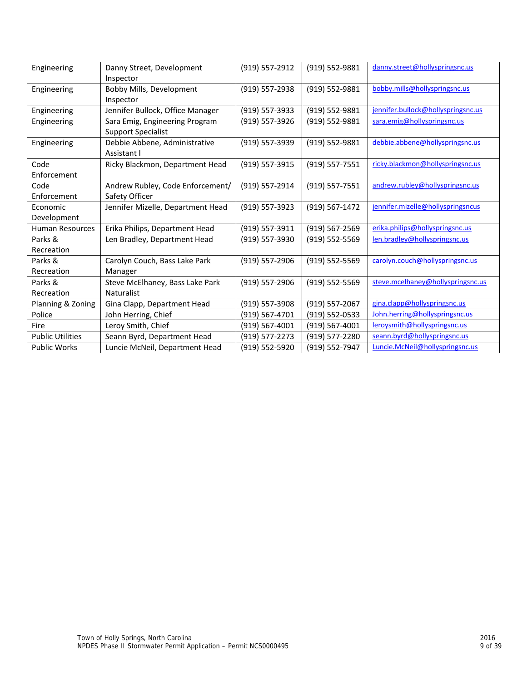| Engineering             | Danny Street, Development<br>Inspector                      | (919) 557-2912 | (919) 552-9881     | danny.street@hollyspringsnc.us     |
|-------------------------|-------------------------------------------------------------|----------------|--------------------|------------------------------------|
| Engineering             | Bobby Mills, Development<br>Inspector                       | (919) 557-2938 | (919) 552-9881     | bobby.mills@hollyspringsnc.us      |
| Engineering             | Jennifer Bullock, Office Manager                            | (919) 557-3933 | (919) 552-9881     | jennifer.bullock@hollyspringsnc.us |
| Engineering             | Sara Emig, Engineering Program<br><b>Support Specialist</b> | (919) 557-3926 | (919) 552-9881     | sara.emig@hollyspringsnc.us        |
| Engineering             | Debbie Abbene, Administrative<br>Assistant I                | (919) 557-3939 | (919) 552-9881     | debbie.abbene@hollyspringsnc.us    |
| Code<br>Enforcement     | Ricky Blackmon, Department Head                             | (919) 557-3915 | (919) 557-7551     | ricky.blackmon@hollyspringsnc.us   |
| Code<br>Enforcement     | Andrew Rubley, Code Enforcement/<br>Safety Officer          | (919) 557-2914 | $(919) 557 - 7551$ | andrew.rubley@hollyspringsnc.us    |
| Economic<br>Development | Jennifer Mizelle, Department Head                           | (919) 557-3923 | (919) 567-1472     | jennifer.mizelle@hollyspringsncus  |
| <b>Human Resources</b>  | Erika Philips, Department Head                              | (919) 557-3911 | (919) 567-2569     | erika.philips@hollyspringsnc.us    |
| Parks &<br>Recreation   | Len Bradley, Department Head                                | (919) 557-3930 | (919) 552-5569     | len.bradley@hollyspringsnc.us      |
| Parks &<br>Recreation   | Carolyn Couch, Bass Lake Park<br>Manager                    | (919) 557-2906 | (919) 552-5569     | carolyn.couch@hollyspringsnc.us    |
| Parks &                 | Steve McElhaney, Bass Lake Park                             | (919) 557-2906 | (919) 552-5569     | steve.mcelhaney@hollyspringsnc.us  |
| Recreation              | <b>Naturalist</b>                                           |                |                    |                                    |
| Planning & Zoning       | Gina Clapp, Department Head                                 | (919) 557-3908 | (919) 557-2067     | gina.clapp@hollyspringsnc.us       |
| Police                  | John Herring, Chief                                         | (919) 567-4701 | (919) 552-0533     | John.herring@hollyspringsnc.us     |
| Fire                    | Leroy Smith, Chief                                          | (919) 567-4001 | (919) 567-4001     | leroysmith@hollyspringsnc.us       |
| <b>Public Utilities</b> | Seann Byrd, Department Head                                 | (919) 577-2273 | (919) 577-2280     | seann.byrd@hollyspringsnc.us       |
| <b>Public Works</b>     | Luncie McNeil, Department Head                              | (919) 552-5920 | (919) 552-7947     | Luncie.McNeil@hollyspringsnc.us    |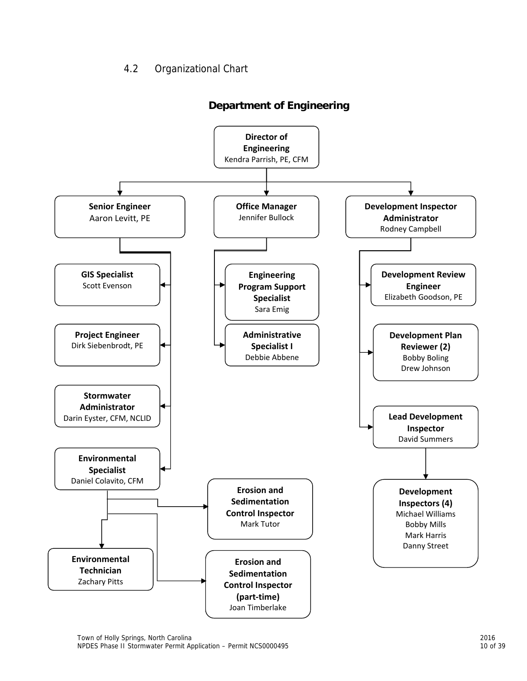# 4.2 Organizational Chart



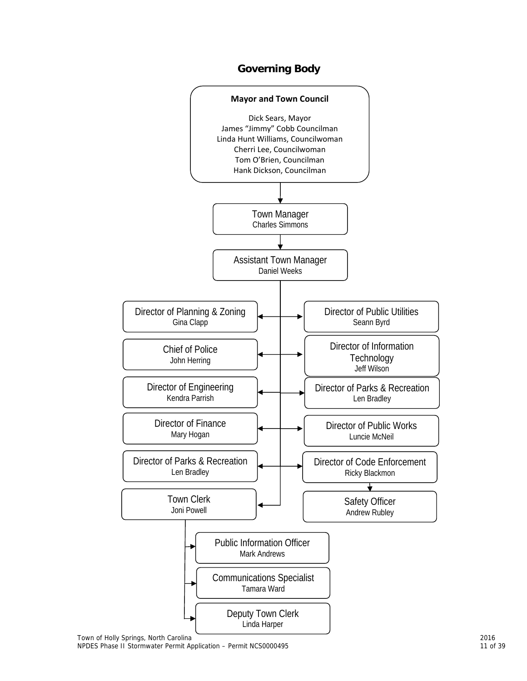![](_page_15_Figure_0.jpeg)

# **Governing Body**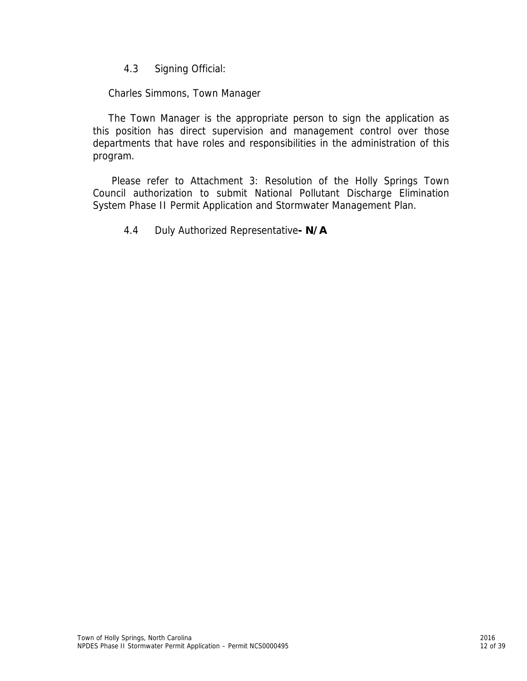4.3 Signing Official:

Charles Simmons, Town Manager

The Town Manager is the appropriate person to sign the application as this position has direct supervision and management control over those departments that have roles and responsibilities in the administration of this program.

 Please refer to Attachment 3: Resolution of the Holly Springs Town Council authorization to submit National Pollutant Discharge Elimination System Phase II Permit Application and Stormwater Management Plan.

4.4 Duly Authorized Representative**- N/A**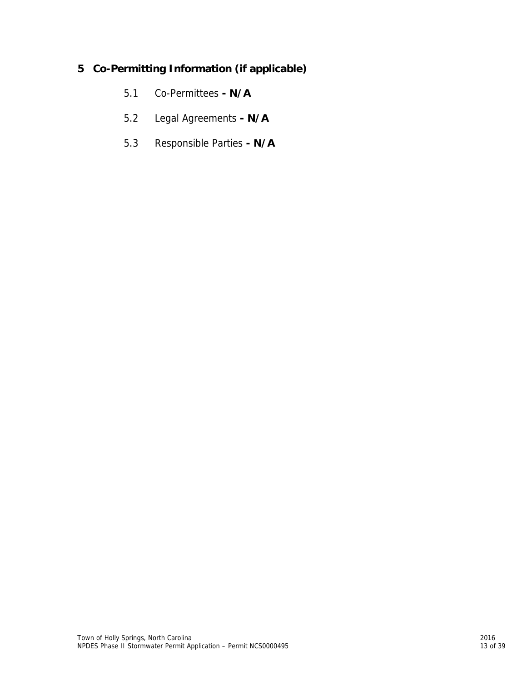# **5 Co-Permitting Information (if applicable)**

- 5.1 Co-Permittees  **N/A**
- 5.2 Legal Agreements  **N/A**
- 5.3 Responsible Parties  **N/A**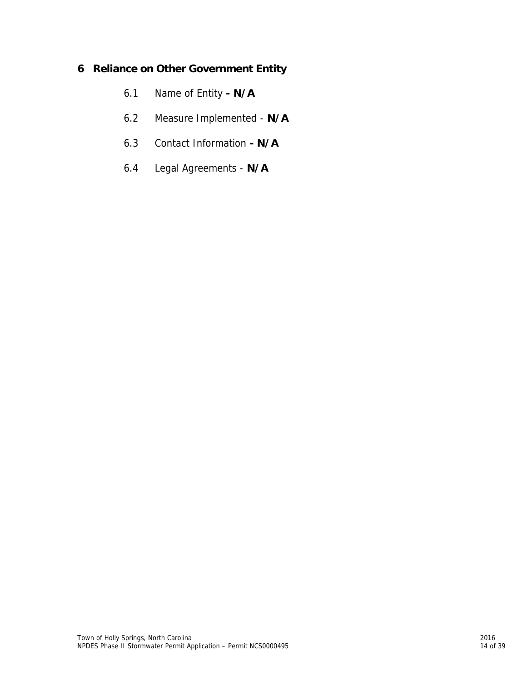# **6 Reliance on Other Government Entity**

- 6.1 Name of Entity  **N/A**
- 6.2 Measure Implemented **N/A**
- 6.3 Contact Information  **N/A**
- 6.4 Legal Agreements **N/A**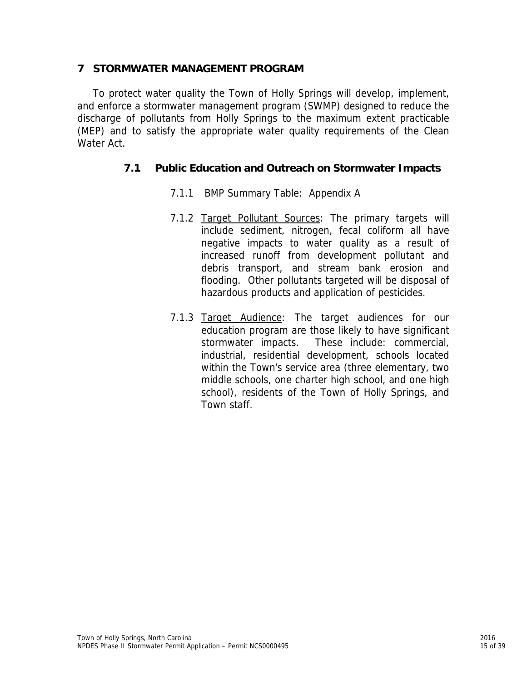# **7 STORMWATER MANAGEMENT PROGRAM**

To protect water quality the Town of Holly Springs will develop, implement, and enforce a stormwater management program (SWMP) designed to reduce the discharge of pollutants from Holly Springs to the maximum extent practicable (MEP) and to satisfy the appropriate water quality requirements of the Clean Water Act.

# **7.1 Public Education and Outreach on Stormwater Impacts**

- 7.1.1 BMP Summary Table: Appendix A
- 7.1.2 Target Pollutant Sources: The primary targets will include sediment, nitrogen, fecal coliform all have negative impacts to water quality as a result of increased runoff from development pollutant and debris transport, and stream bank erosion and flooding. Other pollutants targeted will be disposal of hazardous products and application of pesticides.
- 7.1.3 Target Audience: The target audiences for our education program are those likely to have significant stormwater impacts. These include: commercial, industrial, residential development, schools located within the Town's service area (three elementary, two middle schools, one charter high school, and one high school), residents of the Town of Holly Springs, and Town staff.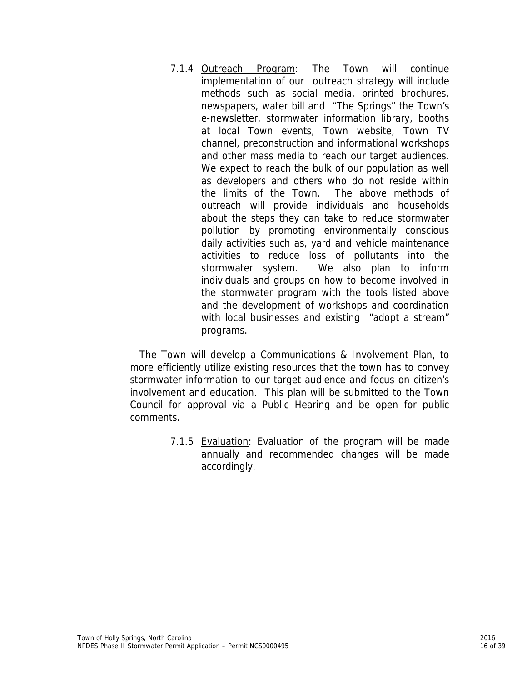7.1.4 Outreach Program: The Town will continue implementation of our outreach strategy will include methods such as social media, printed brochures, newspapers, water bill and "The Springs" the Town's e-newsletter, stormwater information library, booths at local Town events, Town website, Town TV channel, preconstruction and informational workshops and other mass media to reach our target audiences. We expect to reach the bulk of our population as well as developers and others who do not reside within the limits of the Town. The above methods of outreach will provide individuals and households about the steps they can take to reduce stormwater pollution by promoting environmentally conscious daily activities such as, yard and vehicle maintenance activities to reduce loss of pollutants into the stormwater system. We also plan to inform individuals and groups on how to become involved in the stormwater program with the tools listed above and the development of workshops and coordination with local businesses and existing "adopt a stream" programs.

The Town will develop a Communications & Involvement Plan, to more efficiently utilize existing resources that the town has to convey stormwater information to our target audience and focus on citizen's involvement and education. This plan will be submitted to the Town Council for approval via a Public Hearing and be open for public comments.

> 7.1.5 Evaluation: Evaluation of the program will be made annually and recommended changes will be made accordingly.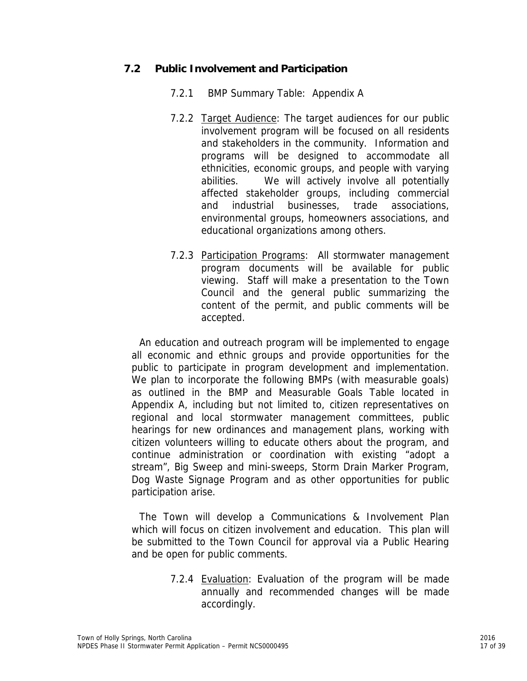# **7.2 Public Involvement and Participation**

- 7.2.1 BMP Summary Table: Appendix A
- 7.2.2 Target Audience: The target audiences for our public involvement program will be focused on all residents and stakeholders in the community. Information and programs will be designed to accommodate all ethnicities, economic groups, and people with varying abilities. We will actively involve all potentially affected stakeholder groups, including commercial and industrial businesses, trade associations, environmental groups, homeowners associations, and educational organizations among others.
- 7.2.3 Participation Programs: All stormwater management program documents will be available for public viewing. Staff will make a presentation to the Town Council and the general public summarizing the content of the permit, and public comments will be accepted.

An education and outreach program will be implemented to engage all economic and ethnic groups and provide opportunities for the public to participate in program development and implementation. We plan to incorporate the following BMPs (with measurable goals) as outlined in the BMP and Measurable Goals Table located in Appendix A, including but not limited to, citizen representatives on regional and local stormwater management committees, public hearings for new ordinances and management plans, working with citizen volunteers willing to educate others about the program, and continue administration or coordination with existing "adopt a stream", Big Sweep and mini-sweeps, Storm Drain Marker Program, Dog Waste Signage Program and as other opportunities for public participation arise.

The Town will develop a Communications & Involvement Plan which will focus on citizen involvement and education. This plan will be submitted to the Town Council for approval via a Public Hearing and be open for public comments.

> 7.2.4 Evaluation: Evaluation of the program will be made annually and recommended changes will be made accordingly.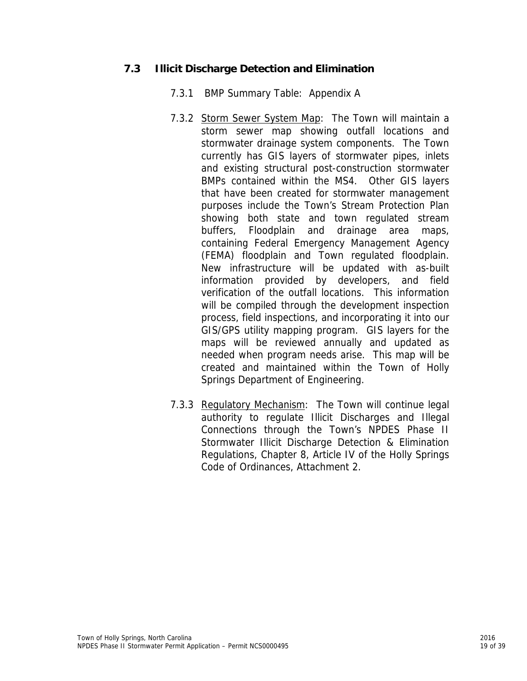# **7.3 Illicit Discharge Detection and Elimination**

- 7.3.1 BMP Summary Table: Appendix A
- 7.3.2 Storm Sewer System Map: The Town will maintain a storm sewer map showing outfall locations and stormwater drainage system components. The Town currently has GIS layers of stormwater pipes, inlets and existing structural post-construction stormwater BMPs contained within the MS4. Other GIS layers that have been created for stormwater management purposes include the Town's Stream Protection Plan showing both state and town regulated stream buffers, Floodplain and drainage area maps, containing Federal Emergency Management Agency (FEMA) floodplain and Town regulated floodplain. New infrastructure will be updated with as-built information provided by developers, and field verification of the outfall locations. This information will be compiled through the development inspection process, field inspections, and incorporating it into our GIS/GPS utility mapping program. GIS layers for the maps will be reviewed annually and updated as needed when program needs arise. This map will be created and maintained within the Town of Holly Springs Department of Engineering.
- 7.3.3 Regulatory Mechanism: The Town will continue legal authority to regulate Illicit Discharges and Illegal Connections through the Town's NPDES Phase II Stormwater Illicit Discharge Detection & Elimination Regulations, Chapter 8, Article IV of the Holly Springs Code of Ordinances, Attachment 2.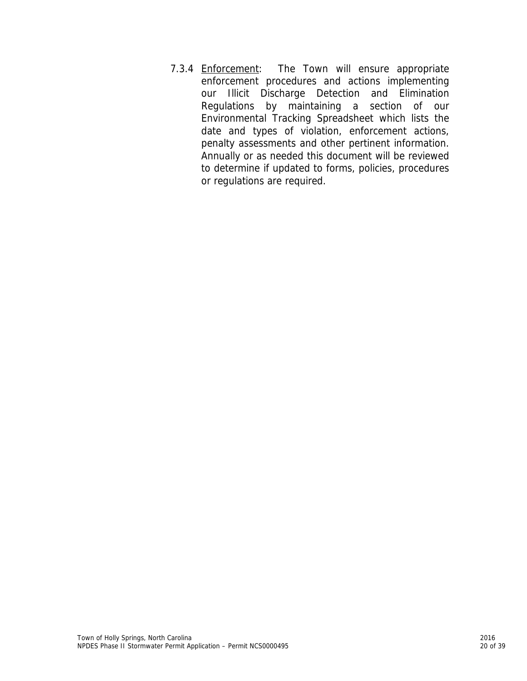7.3.4 **Enforcement:** The Town will ensure appropriate enforcement procedures and actions implementing our Illicit Discharge Detection and Elimination Regulations by maintaining a section of our Environmental Tracking Spreadsheet which lists the date and types of violation, enforcement actions, penalty assessments and other pertinent information. Annually or as needed this document will be reviewed to determine if updated to forms, policies, procedures or regulations are required.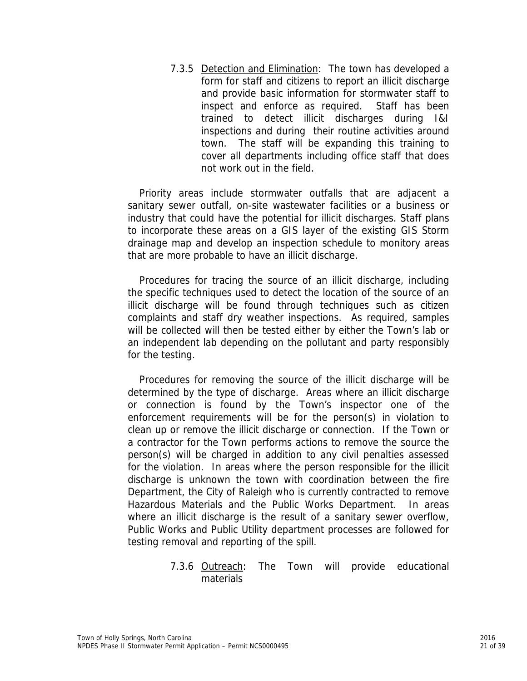7.3.5 Detection and Elimination: The town has developed a form for staff and citizens to report an illicit discharge and provide basic information for stormwater staff to inspect and enforce as required. Staff has been trained to detect illicit discharges during I&I inspections and during their routine activities around town. The staff will be expanding this training to cover all departments including office staff that does not work out in the field.

Priority areas include stormwater outfalls that are adjacent a sanitary sewer outfall, on-site wastewater facilities or a business or industry that could have the potential for illicit discharges. Staff plans to incorporate these areas on a GIS layer of the existing GIS Storm drainage map and develop an inspection schedule to monitory areas that are more probable to have an illicit discharge.

Procedures for tracing the source of an illicit discharge, including the specific techniques used to detect the location of the source of an illicit discharge will be found through techniques such as citizen complaints and staff dry weather inspections. As required, samples will be collected will then be tested either by either the Town's lab or an independent lab depending on the pollutant and party responsibly for the testing.

Procedures for removing the source of the illicit discharge will be determined by the type of discharge. Areas where an illicit discharge or connection is found by the Town's inspector one of the enforcement requirements will be for the person(s) in violation to clean up or remove the illicit discharge or connection. If the Town or a contractor for the Town performs actions to remove the source the person(s) will be charged in addition to any civil penalties assessed for the violation. In areas where the person responsible for the illicit discharge is unknown the town with coordination between the fire Department, the City of Raleigh who is currently contracted to remove Hazardous Materials and the Public Works Department. In areas where an illicit discharge is the result of a sanitary sewer overflow, Public Works and Public Utility department processes are followed for testing removal and reporting of the spill.

> 7.3.6 **Outreach:** The Town will provide educational materials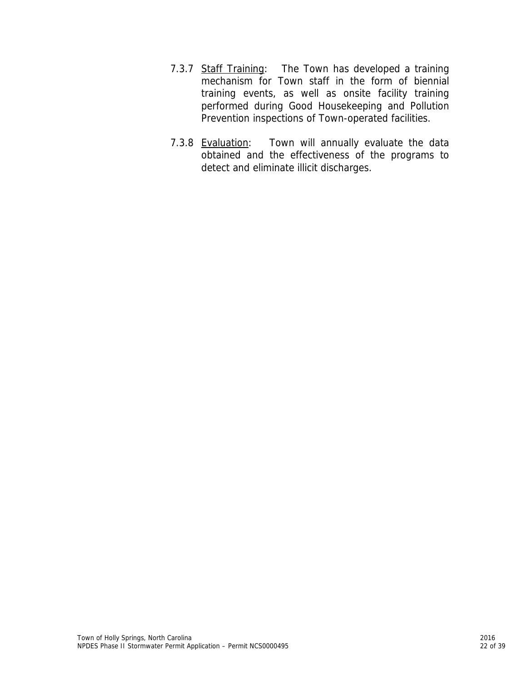- 7.3.7 Staff Training: The Town has developed a training mechanism for Town staff in the form of biennial training events, as well as onsite facility training performed during Good Housekeeping and Pollution Prevention inspections of Town-operated facilities.
- 7.3.8 Evaluation: Town will annually evaluate the data obtained and the effectiveness of the programs to detect and eliminate illicit discharges.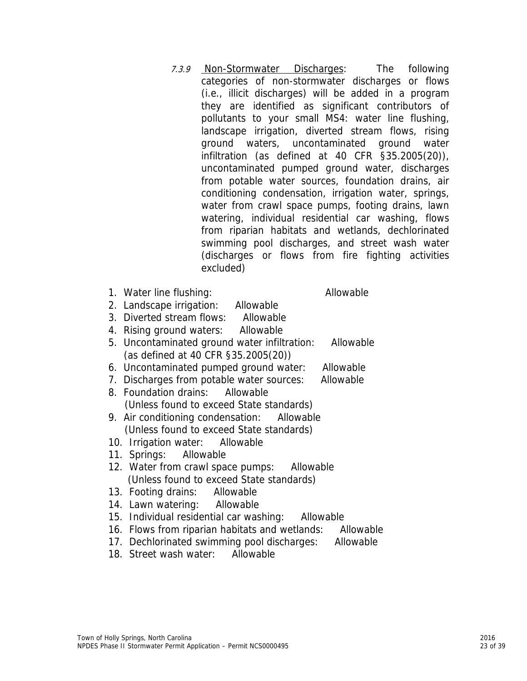- 7.3.9 Non-Stormwater Discharges: The following categories of non-stormwater discharges or flows (i.e., illicit discharges) will be added in a program they are identified as significant contributors of pollutants to your small MS4: water line flushing, landscape irrigation, diverted stream flows, rising ground waters, uncontaminated ground water infiltration (as defined at 40 CFR §35.2005(20)), uncontaminated pumped ground water, discharges from potable water sources, foundation drains, air conditioning condensation, irrigation water, springs, water from crawl space pumps, footing drains, lawn watering, individual residential car washing, flows from riparian habitats and wetlands, dechlorinated swimming pool discharges, and street wash water (discharges or flows from fire fighting activities excluded)
- 1. Water line flushing: Allowable
- 2. Landscape irrigation: Allowable
- 3. Diverted stream flows: Allowable
- 4. Rising ground waters: Allowable
- 5. Uncontaminated ground water infiltration: Allowable (as defined at 40 CFR §35.2005(20))
- 6. Uncontaminated pumped ground water: Allowable
- 7. Discharges from potable water sources: Allowable
- 8. Foundation drains: Allowable (Unless found to exceed State standards)
- 9. Air conditioning condensation: Allowable (Unless found to exceed State standards)
- 10. Irrigation water: Allowable
- 11. Springs: Allowable
- 12. Water from crawl space pumps: Allowable (Unless found to exceed State standards)
- 13. Footing drains: Allowable
- 14. Lawn watering: Allowable
- 15. Individual residential car washing: Allowable
- 16. Flows from riparian habitats and wetlands: Allowable
- 17. Dechlorinated swimming pool discharges: Allowable
- 18. Street wash water: Allowable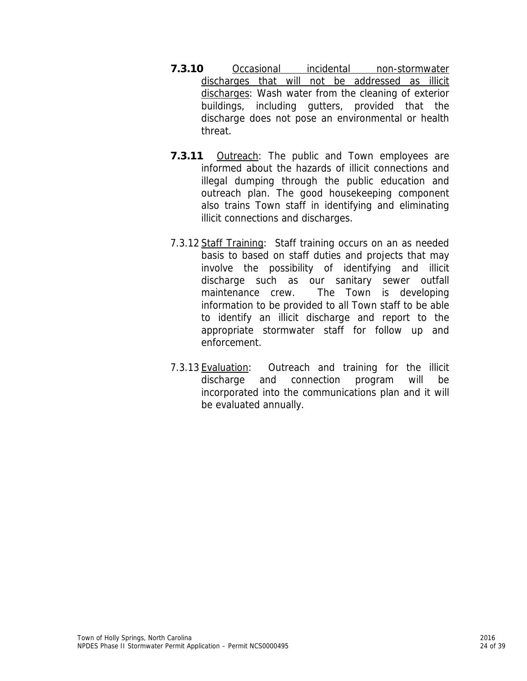- **7.3.10** Occasional incidental non-stormwater discharges that will not be addressed as illicit discharges: Wash water from the cleaning of exterior buildings, including gutters, provided that the discharge does not pose an environmental or health threat.
- **7.3.11** Outreach: The public and Town employees are informed about the hazards of illicit connections and illegal dumping through the public education and outreach plan. The good housekeeping component also trains Town staff in identifying and eliminating illicit connections and discharges.
- 7.3.12 Staff Training: Staff training occurs on an as needed basis to based on staff duties and projects that may involve the possibility of identifying and illicit discharge such as our sanitary sewer outfall maintenance crew. The Town is developing information to be provided to all Town staff to be able to identify an illicit discharge and report to the appropriate stormwater staff for follow up and enforcement.
- 7.3.13 Evaluation: Outreach and training for the illicit discharge and connection program will be incorporated into the communications plan and it will be evaluated annually.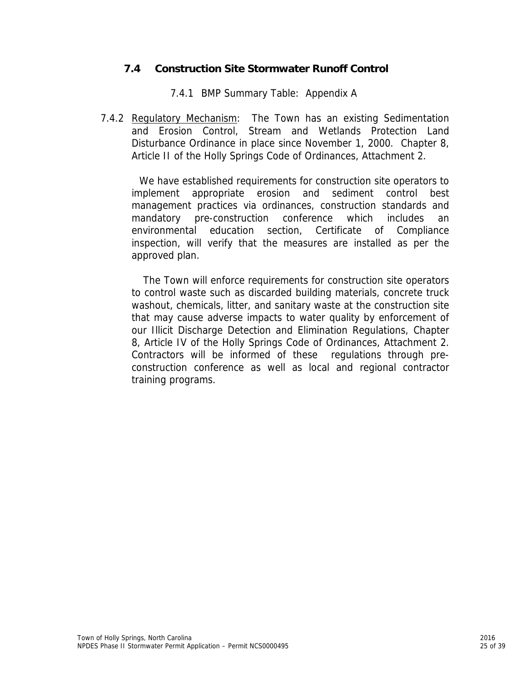# **7.4 Construction Site Stormwater Runoff Control**

7.4.1 BMP Summary Table: Appendix A

7.4.2 Regulatory Mechanism: The Town has an existing Sedimentation and Erosion Control, Stream and Wetlands Protection Land Disturbance Ordinance in place since November 1, 2000. Chapter 8, Article II of the Holly Springs Code of Ordinances, Attachment 2.

 We have established requirements for construction site operators to implement appropriate erosion and sediment control best management practices via ordinances, construction standards and mandatory pre-construction conference which includes an environmental education section, Certificate of Compliance inspection, will verify that the measures are installed as per the approved plan.

 The Town will enforce requirements for construction site operators to control waste such as discarded building materials, concrete truck washout, chemicals, litter, and sanitary waste at the construction site that may cause adverse impacts to water quality by enforcement of our Illicit Discharge Detection and Elimination Regulations, Chapter 8, Article IV of the Holly Springs Code of Ordinances, Attachment 2. Contractors will be informed of these regulations through preconstruction conference as well as local and regional contractor training programs.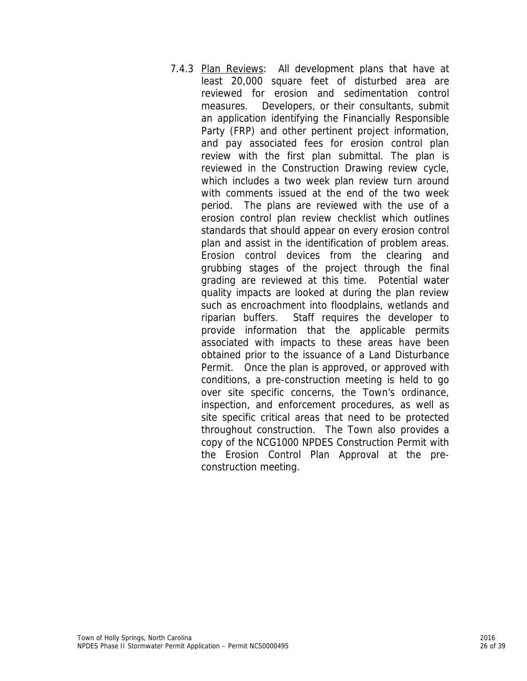7.4.3 Plan Reviews: All development plans that have at least 20,000 square feet of disturbed area are reviewed for erosion and sedimentation control measures. Developers, or their consultants, submit an application identifying the Financially Responsible Party (FRP) and other pertinent project information, and pay associated fees for erosion control plan review with the first plan submittal. The plan is reviewed in the Construction Drawing review cycle, which includes a two week plan review turn around with comments issued at the end of the two week period. The plans are reviewed with the use of a erosion control plan review checklist which outlines standards that should appear on every erosion control plan and assist in the identification of problem areas. Erosion control devices from the clearing and grubbing stages of the project through the final grading are reviewed at this time. Potential water quality impacts are looked at during the plan review such as encroachment into floodplains, wetlands and riparian buffers. Staff requires the developer to provide information that the applicable permits associated with impacts to these areas have been obtained prior to the issuance of a Land Disturbance Permit. Once the plan is approved, or approved with conditions, a pre-construction meeting is held to go over site specific concerns, the Town's ordinance, inspection, and enforcement procedures, as well as site specific critical areas that need to be protected throughout construction. The Town also provides a copy of the NCG1000 NPDES Construction Permit with the Erosion Control Plan Approval at the preconstruction meeting.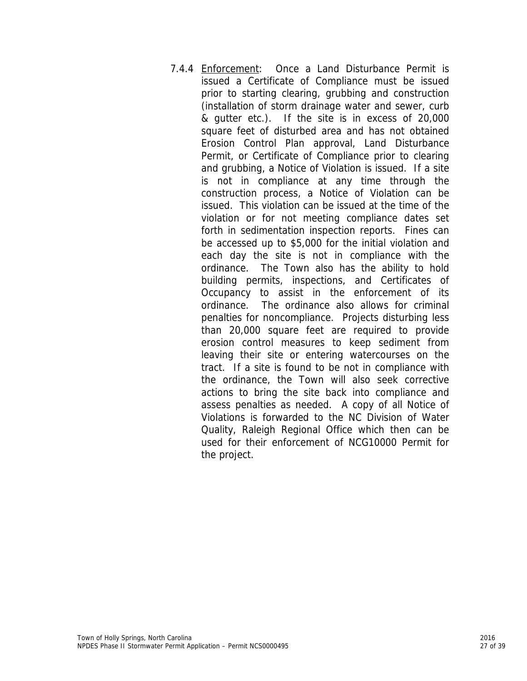7.4.4 Enforcement: Once a Land Disturbance Permit is issued a Certificate of Compliance must be issued prior to starting clearing, grubbing and construction (installation of storm drainage water and sewer, curb & gutter etc.). If the site is in excess of 20,000 square feet of disturbed area and has not obtained Erosion Control Plan approval, Land Disturbance Permit, or Certificate of Compliance prior to clearing and grubbing, a Notice of Violation is issued. If a site is not in compliance at any time through the construction process, a Notice of Violation can be issued. This violation can be issued at the time of the violation or for not meeting compliance dates set forth in sedimentation inspection reports. Fines can be accessed up to \$5,000 for the initial violation and each day the site is not in compliance with the ordinance. The Town also has the ability to hold building permits, inspections, and Certificates of Occupancy to assist in the enforcement of its ordinance. The ordinance also allows for criminal penalties for noncompliance. Projects disturbing less than 20,000 square feet are required to provide erosion control measures to keep sediment from leaving their site or entering watercourses on the tract. If a site is found to be not in compliance with the ordinance, the Town will also seek corrective actions to bring the site back into compliance and assess penalties as needed. A copy of all Notice of Violations is forwarded to the NC Division of Water Quality, Raleigh Regional Office which then can be used for their enforcement of NCG10000 Permit for the project.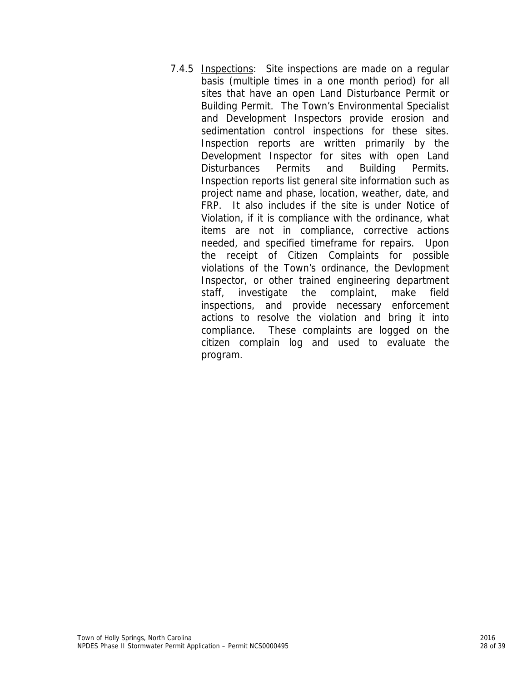7.4.5 Inspections: Site inspections are made on a regular basis (multiple times in a one month period) for all sites that have an open Land Disturbance Permit or Building Permit. The Town's Environmental Specialist and Development Inspectors provide erosion and sedimentation control inspections for these sites. Inspection reports are written primarily by the Development Inspector for sites with open Land Disturbances Permits and Building Permits. Inspection reports list general site information such as project name and phase, location, weather, date, and FRP. It also includes if the site is under Notice of Violation, if it is compliance with the ordinance, what items are not in compliance, corrective actions needed, and specified timeframe for repairs. Upon the receipt of Citizen Complaints for possible violations of the Town's ordinance, the Devlopment Inspector, or other trained engineering department staff, investigate the complaint, make field inspections, and provide necessary enforcement actions to resolve the violation and bring it into compliance. These complaints are logged on the citizen complain log and used to evaluate the program.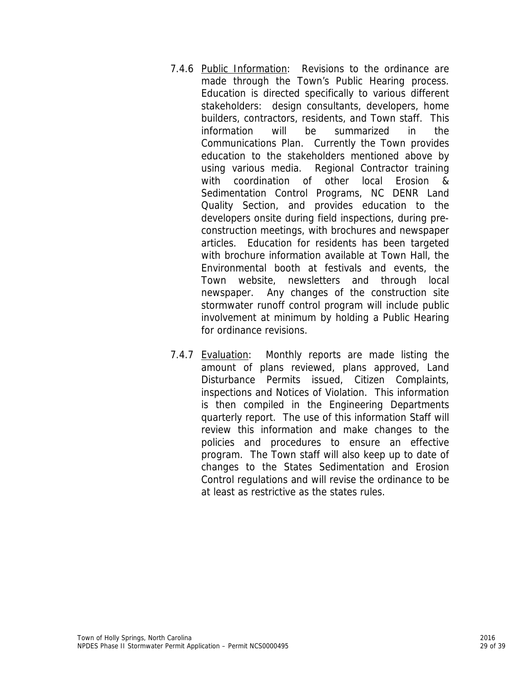- 7.4.6 Public Information: Revisions to the ordinance are made through the Town's Public Hearing process. Education is directed specifically to various different stakeholders: design consultants, developers, home builders, contractors, residents, and Town staff. This information will be summarized in the Communications Plan. Currently the Town provides education to the stakeholders mentioned above by using various media. Regional Contractor training with coordination of other local Erosion & Sedimentation Control Programs, NC DENR Land Quality Section, and provides education to the developers onsite during field inspections, during preconstruction meetings, with brochures and newspaper articles. Education for residents has been targeted with brochure information available at Town Hall, the Environmental booth at festivals and events, the Town website, newsletters and through local newspaper. Any changes of the construction site stormwater runoff control program will include public involvement at minimum by holding a Public Hearing for ordinance revisions.
- 7.4.7 Evaluation: Monthly reports are made listing the amount of plans reviewed, plans approved, Land Disturbance Permits issued, Citizen Complaints, inspections and Notices of Violation. This information is then compiled in the Engineering Departments quarterly report. The use of this information Staff will review this information and make changes to the policies and procedures to ensure an effective program. The Town staff will also keep up to date of changes to the States Sedimentation and Erosion Control regulations and will revise the ordinance to be at least as restrictive as the states rules.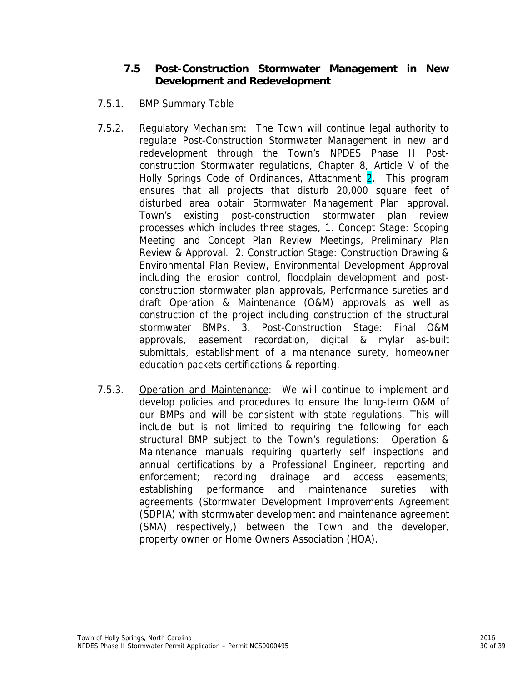# **7.5 Post-Construction Stormwater Management in New Development and Redevelopment**

- 7.5.1. BMP Summary Table
- 7.5.2. Regulatory Mechanism: The Town will continue legal authority to regulate Post-Construction Stormwater Management in new and redevelopment through the Town's NPDES Phase II Postconstruction Stormwater regulations, Chapter 8, Article V of the Holly Springs Code of Ordinances, Attachment 2. This program ensures that all projects that disturb 20,000 square feet of disturbed area obtain Stormwater Management Plan approval. Town's existing post-construction stormwater plan review processes which includes three stages, 1. Concept Stage: Scoping Meeting and Concept Plan Review Meetings, Preliminary Plan Review & Approval. 2. Construction Stage: Construction Drawing & Environmental Plan Review, Environmental Development Approval including the erosion control, floodplain development and postconstruction stormwater plan approvals, Performance sureties and draft Operation & Maintenance (O&M) approvals as well as construction of the project including construction of the structural stormwater BMPs. 3. Post-Construction Stage: Final O&M approvals, easement recordation, digital & mylar as-built submittals, establishment of a maintenance surety, homeowner education packets certifications & reporting.
- 7.5.3. Operation and Maintenance: We will continue to implement and develop policies and procedures to ensure the long-term O&M of our BMPs and will be consistent with state regulations. This will include but is not limited to requiring the following for each structural BMP subject to the Town's regulations: Operation & Maintenance manuals requiring quarterly self inspections and annual certifications by a Professional Engineer, reporting and enforcement; recording drainage and access easements; establishing performance and maintenance sureties with agreements (Stormwater Development Improvements Agreement (SDPIA) with stormwater development and maintenance agreement (SMA) respectively,) between the Town and the developer, property owner or Home Owners Association (HOA).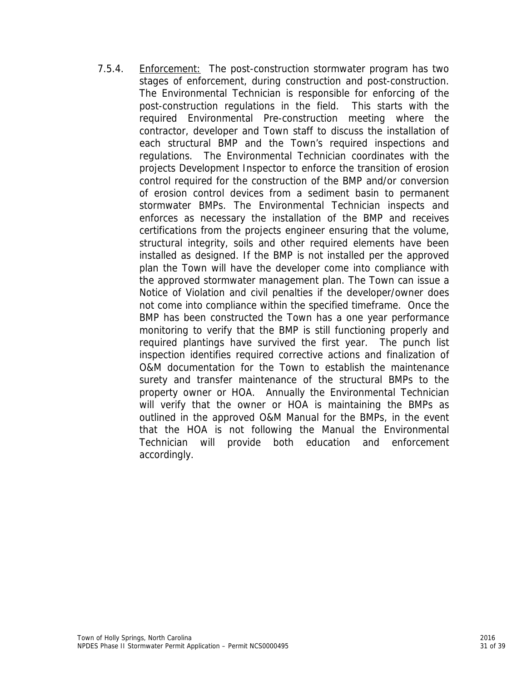7.5.4. Enforcement: The post-construction stormwater program has two stages of enforcement, during construction and post-construction. The Environmental Technician is responsible for enforcing of the post-construction regulations in the field. This starts with the required Environmental Pre-construction meeting where the contractor, developer and Town staff to discuss the installation of each structural BMP and the Town's required inspections and regulations. The Environmental Technician coordinates with the projects Development Inspector to enforce the transition of erosion control required for the construction of the BMP and/or conversion of erosion control devices from a sediment basin to permanent stormwater BMPs. The Environmental Technician inspects and enforces as necessary the installation of the BMP and receives certifications from the projects engineer ensuring that the volume, structural integrity, soils and other required elements have been installed as designed. If the BMP is not installed per the approved plan the Town will have the developer come into compliance with the approved stormwater management plan. The Town can issue a Notice of Violation and civil penalties if the developer/owner does not come into compliance within the specified timeframe. Once the BMP has been constructed the Town has a one year performance monitoring to verify that the BMP is still functioning properly and required plantings have survived the first year. The punch list inspection identifies required corrective actions and finalization of O&M documentation for the Town to establish the maintenance surety and transfer maintenance of the structural BMPs to the property owner or HOA. Annually the Environmental Technician will verify that the owner or HOA is maintaining the BMPs as outlined in the approved O&M Manual for the BMPs, in the event that the HOA is not following the Manual the Environmental Technician will provide both education and enforcement accordingly.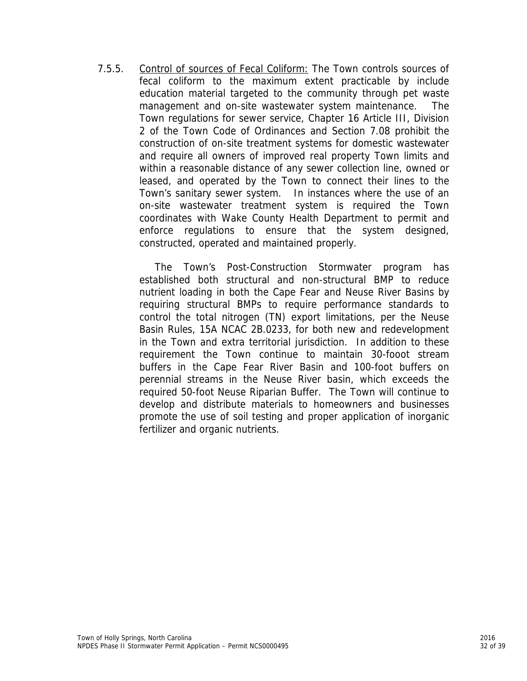7.5.5. Control of sources of Fecal Coliform: The Town controls sources of fecal coliform to the maximum extent practicable by include education material targeted to the community through pet waste management and on-site wastewater system maintenance. The Town regulations for sewer service, Chapter 16 Article III, Division 2 of the Town Code of Ordinances and Section 7.08 prohibit the construction of on-site treatment systems for domestic wastewater and require all owners of improved real property Town limits and within a reasonable distance of any sewer collection line, owned or leased, and operated by the Town to connect their lines to the Town's sanitary sewer system. In instances where the use of an on-site wastewater treatment system is required the Town coordinates with Wake County Health Department to permit and enforce regulations to ensure that the system designed, constructed, operated and maintained properly.

> The Town's Post-Construction Stormwater program has established both structural and non-structural BMP to reduce nutrient loading in both the Cape Fear and Neuse River Basins by requiring structural BMPs to require performance standards to control the total nitrogen (TN) export limitations, per the Neuse Basin Rules, 15A NCAC 2B.0233, for both new and redevelopment in the Town and extra territorial jurisdiction. In addition to these requirement the Town continue to maintain 30-fooot stream buffers in the Cape Fear River Basin and 100-foot buffers on perennial streams in the Neuse River basin, which exceeds the required 50-foot Neuse Riparian Buffer. The Town will continue to develop and distribute materials to homeowners and businesses promote the use of soil testing and proper application of inorganic fertilizer and organic nutrients.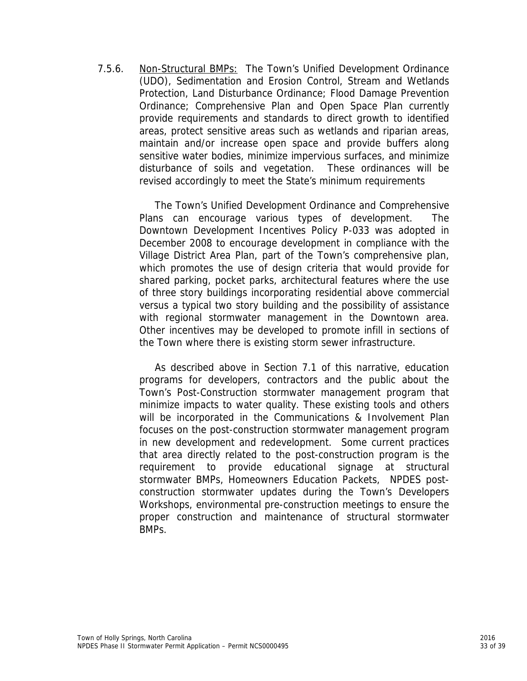7.5.6. Non-Structural BMPs: The Town's Unified Development Ordinance (UDO), Sedimentation and Erosion Control, Stream and Wetlands Protection, Land Disturbance Ordinance; Flood Damage Prevention Ordinance; Comprehensive Plan and Open Space Plan currently provide requirements and standards to direct growth to identified areas, protect sensitive areas such as wetlands and riparian areas, maintain and/or increase open space and provide buffers along sensitive water bodies, minimize impervious surfaces, and minimize disturbance of soils and vegetation. These ordinances will be revised accordingly to meet the State's minimum requirements

> The Town's Unified Development Ordinance and Comprehensive Plans can encourage various types of development. The Downtown Development Incentives Policy P-033 was adopted in December 2008 to encourage development in compliance with the Village District Area Plan, part of the Town's comprehensive plan, which promotes the use of design criteria that would provide for shared parking, pocket parks, architectural features where the use of three story buildings incorporating residential above commercial versus a typical two story building and the possibility of assistance with regional stormwater management in the Downtown area. Other incentives may be developed to promote infill in sections of the Town where there is existing storm sewer infrastructure.

> As described above in Section 7.1 of this narrative, education programs for developers, contractors and the public about the Town's Post-Construction stormwater management program that minimize impacts to water quality. These existing tools and others will be incorporated in the Communications & Involvement Plan focuses on the post-construction stormwater management program in new development and redevelopment. Some current practices that area directly related to the post-construction program is the requirement to provide educational signage at structural stormwater BMPs, Homeowners Education Packets, NPDES postconstruction stormwater updates during the Town's Developers Workshops, environmental pre-construction meetings to ensure the proper construction and maintenance of structural stormwater BMPs.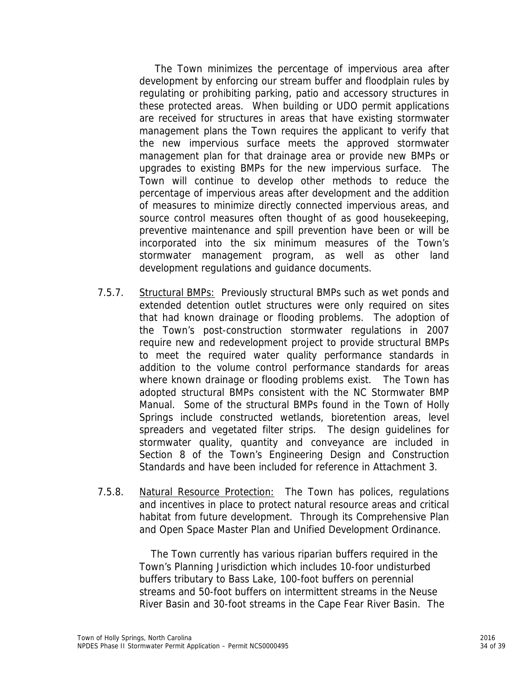The Town minimizes the percentage of impervious area after development by enforcing our stream buffer and floodplain rules by regulating or prohibiting parking, patio and accessory structures in these protected areas. When building or UDO permit applications are received for structures in areas that have existing stormwater management plans the Town requires the applicant to verify that the new impervious surface meets the approved stormwater management plan for that drainage area or provide new BMPs or upgrades to existing BMPs for the new impervious surface. The Town will continue to develop other methods to reduce the percentage of impervious areas after development and the addition of measures to minimize directly connected impervious areas, and source control measures often thought of as good housekeeping, preventive maintenance and spill prevention have been or will be incorporated into the six minimum measures of the Town's stormwater management program, as well as other land development regulations and guidance documents.

- 7.5.7. Structural BMPs: Previously structural BMPs such as wet ponds and extended detention outlet structures were only required on sites that had known drainage or flooding problems. The adoption of the Town's post-construction stormwater regulations in 2007 require new and redevelopment project to provide structural BMPs to meet the required water quality performance standards in addition to the volume control performance standards for areas where known drainage or flooding problems exist. The Town has adopted structural BMPs consistent with the NC Stormwater BMP Manual. Some of the structural BMPs found in the Town of Holly Springs include constructed wetlands, bioretention areas, level spreaders and vegetated filter strips. The design guidelines for stormwater quality, quantity and conveyance are included in Section 8 of the Town's Engineering Design and Construction Standards and have been included for reference in Attachment 3.
- 7.5.8. Natural Resource Protection: The Town has polices, regulations and incentives in place to protect natural resource areas and critical habitat from future development. Through its Comprehensive Plan and Open Space Master Plan and Unified Development Ordinance.

The Town currently has various riparian buffers required in the Town's Planning Jurisdiction which includes 10-foor undisturbed buffers tributary to Bass Lake, 100-foot buffers on perennial streams and 50-foot buffers on intermittent streams in the Neuse River Basin and 30-foot streams in the Cape Fear River Basin. The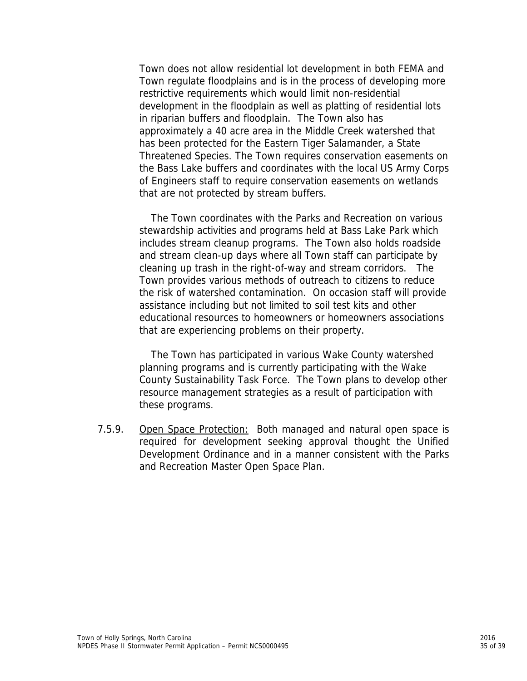Town does not allow residential lot development in both FEMA and Town regulate floodplains and is in the process of developing more restrictive requirements which would limit non-residential development in the floodplain as well as platting of residential lots in riparian buffers and floodplain. The Town also has approximately a 40 acre area in the Middle Creek watershed that has been protected for the Eastern Tiger Salamander, a State Threatened Species. The Town requires conservation easements on the Bass Lake buffers and coordinates with the local US Army Corps of Engineers staff to require conservation easements on wetlands that are not protected by stream buffers.

The Town coordinates with the Parks and Recreation on various stewardship activities and programs held at Bass Lake Park which includes stream cleanup programs. The Town also holds roadside and stream clean-up days where all Town staff can participate by cleaning up trash in the right-of-way and stream corridors. The Town provides various methods of outreach to citizens to reduce the risk of watershed contamination. On occasion staff will provide assistance including but not limited to soil test kits and other educational resources to homeowners or homeowners associations that are experiencing problems on their property.

The Town has participated in various Wake County watershed planning programs and is currently participating with the Wake County Sustainability Task Force. The Town plans to develop other resource management strategies as a result of participation with these programs.

7.5.9. Open Space Protection: Both managed and natural open space is required for development seeking approval thought the Unified Development Ordinance and in a manner consistent with the Parks and Recreation Master Open Space Plan.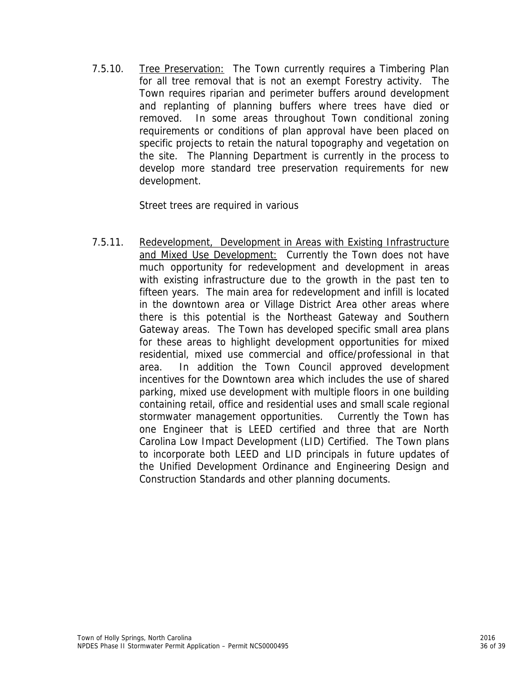7.5.10. Tree Preservation: The Town currently requires a Timbering Plan for all tree removal that is not an exempt Forestry activity. The Town requires riparian and perimeter buffers around development and replanting of planning buffers where trees have died or removed. In some areas throughout Town conditional zoning requirements or conditions of plan approval have been placed on specific projects to retain the natural topography and vegetation on the site. The Planning Department is currently in the process to develop more standard tree preservation requirements for new development.

Street trees are required in various

7.5.11. Redevelopment, Development in Areas with Existing Infrastructure and Mixed Use Development: Currently the Town does not have much opportunity for redevelopment and development in areas with existing infrastructure due to the growth in the past ten to fifteen years. The main area for redevelopment and infill is located in the downtown area or Village District Area other areas where there is this potential is the Northeast Gateway and Southern Gateway areas. The Town has developed specific small area plans for these areas to highlight development opportunities for mixed residential, mixed use commercial and office/professional in that area. In addition the Town Council approved development incentives for the Downtown area which includes the use of shared parking, mixed use development with multiple floors in one building containing retail, office and residential uses and small scale regional stormwater management opportunities. Currently the Town has one Engineer that is LEED certified and three that are North Carolina Low Impact Development (LID) Certified. The Town plans to incorporate both LEED and LID principals in future updates of the Unified Development Ordinance and Engineering Design and Construction Standards and other planning documents.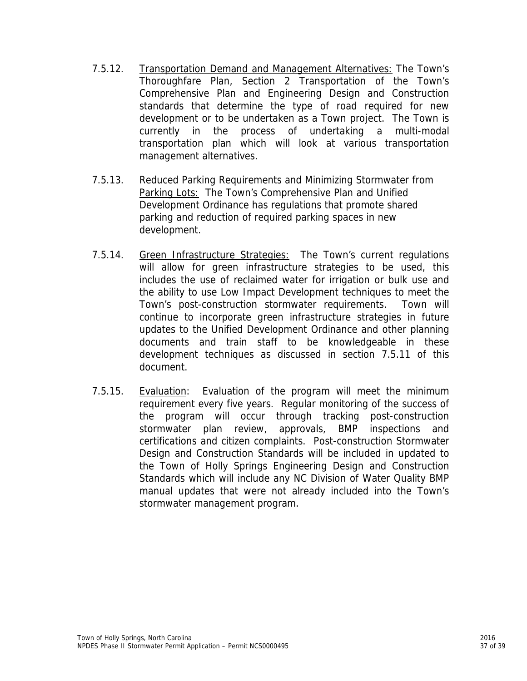- 7.5.12. Transportation Demand and Management Alternatives: The Town's Thoroughfare Plan, Section 2 Transportation of the Town's Comprehensive Plan and Engineering Design and Construction standards that determine the type of road required for new development or to be undertaken as a Town project. The Town is currently in the process of undertaking a multi-modal transportation plan which will look at various transportation management alternatives.
- 7.5.13. Reduced Parking Requirements and Minimizing Stormwater from Parking Lots: The Town's Comprehensive Plan and Unified Development Ordinance has regulations that promote shared parking and reduction of required parking spaces in new development.
- 7.5.14. Green Infrastructure Strategies: The Town's current regulations will allow for green infrastructure strategies to be used, this includes the use of reclaimed water for irrigation or bulk use and the ability to use Low Impact Development techniques to meet the Town's post-construction stormwater requirements. Town will continue to incorporate green infrastructure strategies in future updates to the Unified Development Ordinance and other planning documents and train staff to be knowledgeable in these development techniques as discussed in section 7.5.11 of this document.
- 7.5.15. Evaluation: Evaluation of the program will meet the minimum requirement every five years. Regular monitoring of the success of the program will occur through tracking post-construction stormwater plan review, approvals, BMP inspections and certifications and citizen complaints. Post-construction Stormwater Design and Construction Standards will be included in updated to the Town of Holly Springs Engineering Design and Construction Standards which will include any NC Division of Water Quality BMP manual updates that were not already included into the Town's stormwater management program.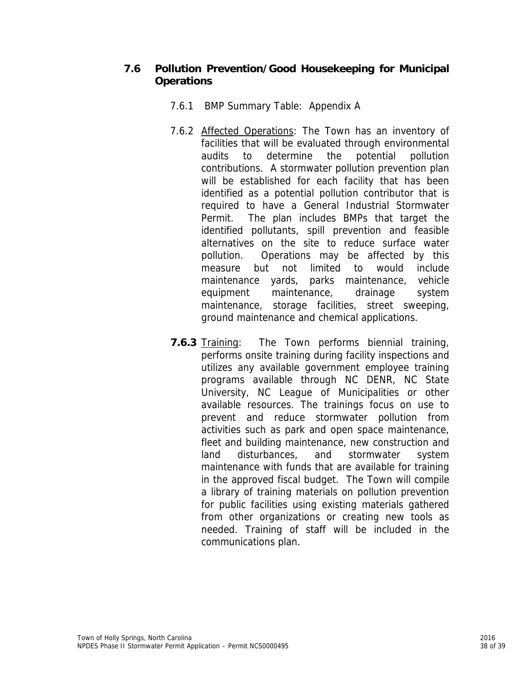# **7.6 Pollution Prevention/Good Housekeeping for Municipal Operations**

- 7.6.1 BMP Summary Table: Appendix A
- 7.6.2 Affected Operations: The Town has an inventory of facilities that will be evaluated through environmental audits to determine the potential pollution contributions. A stormwater pollution prevention plan will be established for each facility that has been identified as a potential pollution contributor that is required to have a General Industrial Stormwater Permit. The plan includes BMPs that target the identified pollutants, spill prevention and feasible alternatives on the site to reduce surface water pollution. Operations may be affected by this measure but not limited to would include maintenance yards, parks maintenance, vehicle equipment maintenance, drainage system maintenance, storage facilities, street sweeping, ground maintenance and chemical applications.
- **7.6.3** Training: The Town performs biennial training, performs onsite training during facility inspections and utilizes any available government employee training programs available through NC DENR, NC State University, NC League of Municipalities or other available resources. The trainings focus on use to prevent and reduce stormwater pollution from activities such as park and open space maintenance, fleet and building maintenance, new construction and land disturbances, and stormwater system maintenance with funds that are available for training in the approved fiscal budget. The Town will compile a library of training materials on pollution prevention for public facilities using existing materials gathered from other organizations or creating new tools as needed. Training of staff will be included in the communications plan.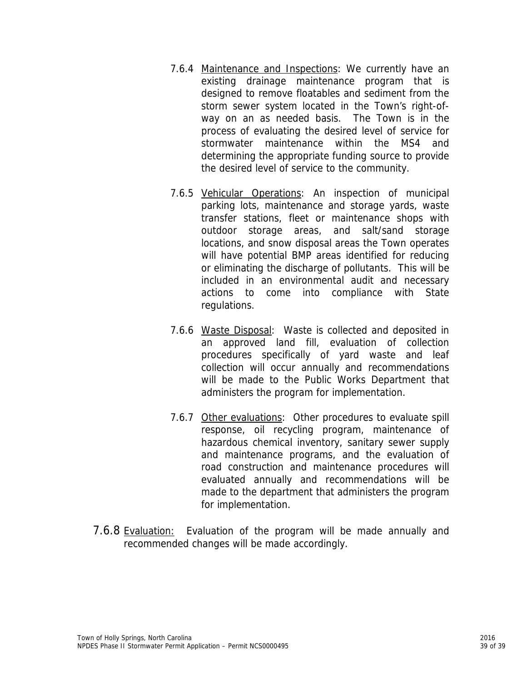- 7.6.4 Maintenance and Inspections: We currently have an existing drainage maintenance program that is designed to remove floatables and sediment from the storm sewer system located in the Town's right-ofway on an as needed basis. The Town is in the process of evaluating the desired level of service for stormwater maintenance within the MS4 and determining the appropriate funding source to provide the desired level of service to the community.
- 7.6.5 Vehicular Operations: An inspection of municipal parking lots, maintenance and storage yards, waste transfer stations, fleet or maintenance shops with outdoor storage areas, and salt/sand storage locations, and snow disposal areas the Town operates will have potential BMP areas identified for reducing or eliminating the discharge of pollutants. This will be included in an environmental audit and necessary actions to come into compliance with State regulations.
- 7.6.6 Waste Disposal: Waste is collected and deposited in an approved land fill, evaluation of collection procedures specifically of yard waste and leaf collection will occur annually and recommendations will be made to the Public Works Department that administers the program for implementation.
- 7.6.7 Other evaluations: Other procedures to evaluate spill response, oil recycling program, maintenance of hazardous chemical inventory, sanitary sewer supply and maintenance programs, and the evaluation of road construction and maintenance procedures will evaluated annually and recommendations will be made to the department that administers the program for implementation.
- 7.6.8 Evaluation: Evaluation of the program will be made annually and recommended changes will be made accordingly.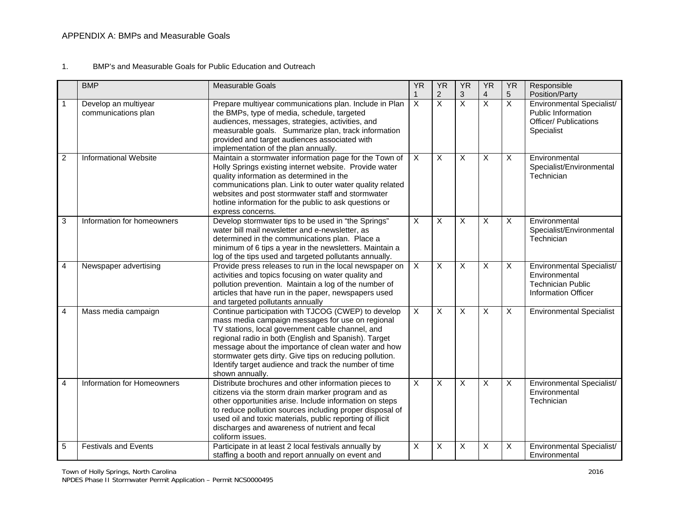#### 1. BMP's and Measurable Goals for Public Education and Outreach

|                | <b>BMP</b>                                  | <b>Measurable Goals</b>                                                                                                                                                                                                                                                                                                                                                                                           | <b>YR</b>                 | <b>YR</b>               | <b>YR</b>               | <b>YR</b>               | <b>YR</b>               | Responsible                                                                                          |
|----------------|---------------------------------------------|-------------------------------------------------------------------------------------------------------------------------------------------------------------------------------------------------------------------------------------------------------------------------------------------------------------------------------------------------------------------------------------------------------------------|---------------------------|-------------------------|-------------------------|-------------------------|-------------------------|------------------------------------------------------------------------------------------------------|
|                |                                             |                                                                                                                                                                                                                                                                                                                                                                                                                   | 1                         | $\overline{2}$          | 3                       | 4                       | 5                       | Position/Party                                                                                       |
| $\mathbf{1}$   | Develop an multiyear<br>communications plan | Prepare multiyear communications plan. Include in Plan<br>the BMPs, type of media, schedule, targeted<br>audiences, messages, strategies, activities, and<br>measurable goals. Summarize plan, track information<br>provided and target audiences associated with<br>implementation of the plan annually.                                                                                                         | $\overline{X}$            | $\overline{X}$          | $\overline{\mathsf{x}}$ | $\overline{\mathsf{x}}$ | X                       | Environmental Specialist/<br>Public Information<br><b>Officer/ Publications</b><br>Specialist        |
| $\overline{c}$ | <b>Informational Website</b>                | Maintain a stormwater information page for the Town of<br>Holly Springs existing internet website. Provide water<br>quality information as determined in the<br>communications plan. Link to outer water quality related<br>websites and post stormwater staff and stormwater<br>hotline information for the public to ask questions or<br>express concerns.                                                      | $\overline{X}$            | $\overline{\mathsf{x}}$ | $\overline{X}$          | $\overline{X}$          | $\overline{\mathsf{x}}$ | Environmental<br>Specialist/Environmental<br>Technician                                              |
| 3              | Information for homeowners                  | Develop stormwater tips to be used in "the Springs"<br>water bill mail newsletter and e-newsletter, as<br>determined in the communications plan. Place a<br>minimum of 6 tips a year in the newsletters. Maintain a<br>log of the tips used and targeted pollutants annually.                                                                                                                                     | $\boldsymbol{\mathsf{X}}$ | $\mathsf{X}$            | $\mathsf{X}$            | X                       | X                       | Environmental<br>Specialist/Environmental<br>Technician                                              |
| 4              | Newspaper advertising                       | Provide press releases to run in the local newspaper on<br>activities and topics focusing on water quality and<br>pollution prevention. Maintain a log of the number of<br>articles that have run in the paper, newspapers used<br>and targeted pollutants annually                                                                                                                                               | $\overline{X}$            | X                       | $\overline{X}$          | X                       | X                       | Environmental Specialist/<br>Environmental<br><b>Technician Public</b><br><b>Information Officer</b> |
| 4              | Mass media campaign                         | Continue participation with TJCOG (CWEP) to develop<br>mass media campaign messages for use on regional<br>TV stations, local government cable channel, and<br>regional radio in both (English and Spanish). Target<br>message about the importance of clean water and how<br>stormwater gets dirty. Give tips on reducing pollution.<br>Identify target audience and track the number of time<br>shown annually. | $\overline{X}$            | X                       | $\overline{X}$          | X                       | X                       | <b>Environmental Specialist</b>                                                                      |
| 4              | Information for Homeowners                  | Distribute brochures and other information pieces to<br>citizens via the storm drain marker program and as<br>other opportunities arise. Include information on steps<br>to reduce pollution sources including proper disposal of<br>used oil and toxic materials, public reporting of illicit<br>discharges and awareness of nutrient and fecal<br>coliform issues.                                              | $\sf X$                   | X                       | X                       | X                       | X                       | Environmental Specialist/<br>Environmental<br>Technician                                             |
| 5              | <b>Festivals and Events</b>                 | Participate in at least 2 local festivals annually by<br>staffing a booth and report annually on event and                                                                                                                                                                                                                                                                                                        | $\boldsymbol{\mathsf{X}}$ | X                       | X                       | $\overline{\mathsf{x}}$ | X                       | Environmental Specialist/<br>Environmental                                                           |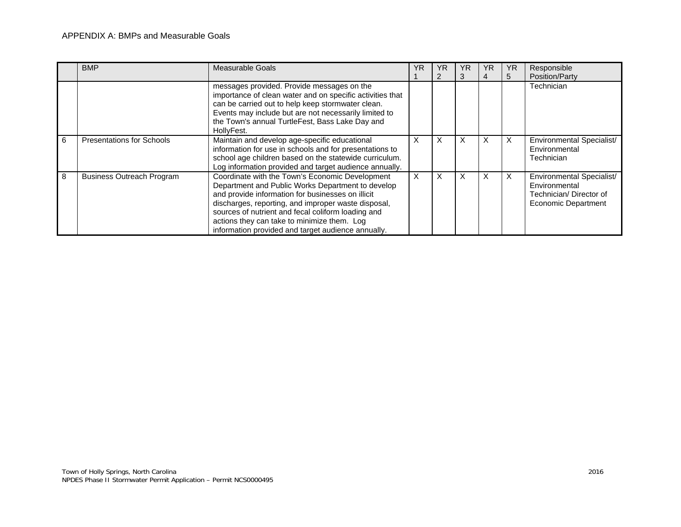#### APPENDIX A: BMPs and Measurable Goals

|   | <b>BMP</b>                       | <b>Measurable Goals</b>                                                                                                                                                                                                                                                                                                                                                     | ΥR       | ΥR | ΥR | ΥR       | <b>YR</b> | Responsible                                                                                 |
|---|----------------------------------|-----------------------------------------------------------------------------------------------------------------------------------------------------------------------------------------------------------------------------------------------------------------------------------------------------------------------------------------------------------------------------|----------|----|----|----------|-----------|---------------------------------------------------------------------------------------------|
|   |                                  |                                                                                                                                                                                                                                                                                                                                                                             |          |    | 3  | 4        | 5         | Position/Party                                                                              |
|   |                                  | messages provided. Provide messages on the<br>importance of clean water and on specific activities that<br>can be carried out to help keep stormwater clean.<br>Events may include but are not necessarily limited to<br>the Town's annual TurtleFest, Bass Lake Day and<br>HollyFest.                                                                                      |          |    |    |          |           | Technician                                                                                  |
| 6 | <b>Presentations for Schools</b> | Maintain and develop age-specific educational<br>information for use in schools and for presentations to<br>school age children based on the statewide curriculum.<br>Log information provided and target audience annually.                                                                                                                                                | X        | X  | X  | $\times$ | X         | Environmental Specialist/<br>Environmental<br>Technician                                    |
| 8 | <b>Business Outreach Program</b> | Coordinate with the Town's Economic Development<br>Department and Public Works Department to develop<br>and provide information for businesses on illicit<br>discharges, reporting, and improper waste disposal,<br>sources of nutrient and fecal coliform loading and<br>actions they can take to minimize them. Log<br>information provided and target audience annually. | $\times$ | X  | X  | $\times$ | X         | Environmental Specialist/<br>Environmental<br>Technician/Director of<br>Economic Department |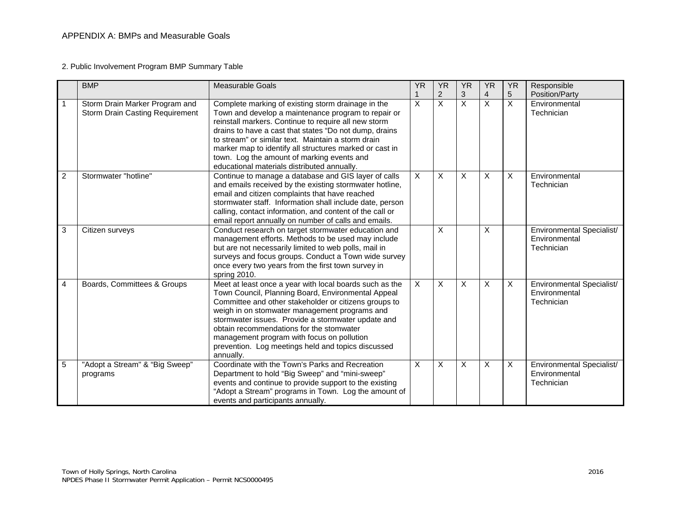2. Public Involvement Program BMP Summary Table

|                | <b>BMP</b>                                                               | <b>Measurable Goals</b>                                                                                                                                                                                                                                                                                                                                                                                                                    | <b>YR</b>    | <b>YR</b>                    | <b>YR</b> | <b>YR</b>           | <b>YR</b> | Responsible<br>Position/Party                            |
|----------------|--------------------------------------------------------------------------|--------------------------------------------------------------------------------------------------------------------------------------------------------------------------------------------------------------------------------------------------------------------------------------------------------------------------------------------------------------------------------------------------------------------------------------------|--------------|------------------------------|-----------|---------------------|-----------|----------------------------------------------------------|
|                | Storm Drain Marker Program and<br><b>Storm Drain Casting Requirement</b> | Complete marking of existing storm drainage in the<br>Town and develop a maintenance program to repair or<br>reinstall markers. Continue to require all new storm<br>drains to have a cast that states "Do not dump, drains<br>to stream" or similar text. Maintain a storm drain<br>marker map to identify all structures marked or cast in<br>town. Log the amount of marking events and<br>educational materials distributed annually.  | X            | 2<br>$\overline{\mathsf{x}}$ | 3<br>X    | $\overline{4}$<br>X | 5<br>X    | Environmental<br>Technician                              |
| $\overline{c}$ | Stormwater "hotline"                                                     | Continue to manage a database and GIS layer of calls<br>and emails received by the existing stormwater hotline,<br>email and citizen complaints that have reached<br>stormwater staff. Information shall include date, person<br>calling, contact information, and content of the call or<br>email report annually on number of calls and emails.                                                                                          | X            | X                            | X         | X                   | X         | Environmental<br>Technician                              |
| 3              | Citizen surveys                                                          | Conduct research on target stormwater education and<br>management efforts. Methods to be used may include<br>but are not necessarily limited to web polls, mail in<br>surveys and focus groups. Conduct a Town wide survey<br>once every two years from the first town survey in<br>spring 2010.                                                                                                                                           |              | X                            |           | $\times$            |           | Environmental Specialist/<br>Environmental<br>Technician |
| 4              | Boards, Committees & Groups                                              | Meet at least once a year with local boards such as the<br>Town Council, Planning Board, Environmental Appeal<br>Committee and other stakeholder or citizens groups to<br>weigh in on stomwater management programs and<br>stormwater issues. Provide a stormwater update and<br>obtain recommendations for the stomwater<br>management program with focus on pollution<br>prevention. Log meetings held and topics discussed<br>annually. | $\mathsf{X}$ | X                            | X         | X                   | X         | Environmental Specialist/<br>Environmental<br>Technician |
| 5              | "Adopt a Stream" & "Big Sweep"<br>programs                               | Coordinate with the Town's Parks and Recreation<br>Department to hold "Big Sweep" and "mini-sweep"<br>events and continue to provide support to the existing<br>"Adopt a Stream" programs in Town. Log the amount of<br>events and participants annually.                                                                                                                                                                                  | X            | X                            | X         | X                   | X         | Environmental Specialist/<br>Environmental<br>Technician |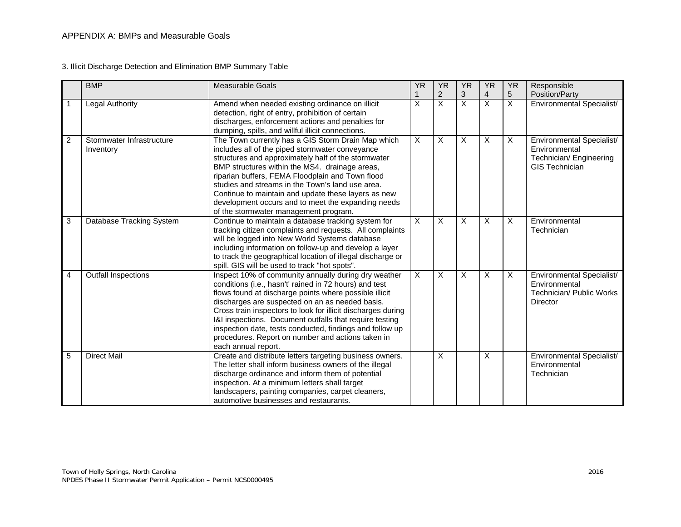3. Illicit Discharge Detection and Elimination BMP Summary Table

|   | <b>BMP</b>                             | <b>Measurable Goals</b>                                                                                                                                                                                                                                                                                                                                                                                                                                                                        | <b>YR</b>      | <b>YR</b>      | <b>YR</b>                 | <b>YR</b> | <b>YR</b>               | Responsible                                                                                    |
|---|----------------------------------------|------------------------------------------------------------------------------------------------------------------------------------------------------------------------------------------------------------------------------------------------------------------------------------------------------------------------------------------------------------------------------------------------------------------------------------------------------------------------------------------------|----------------|----------------|---------------------------|-----------|-------------------------|------------------------------------------------------------------------------------------------|
|   |                                        |                                                                                                                                                                                                                                                                                                                                                                                                                                                                                                |                | $\overline{2}$ | 3                         | 4         | 5                       | Position/Party                                                                                 |
| 1 | <b>Legal Authority</b>                 | Amend when needed existing ordinance on illicit<br>detection, right of entry, prohibition of certain<br>discharges, enforcement actions and penalties for<br>dumping, spills, and willful illicit connections.                                                                                                                                                                                                                                                                                 | Χ              | $\overline{X}$ | X                         | X         | $\overline{X}$          | Environmental Specialist/                                                                      |
| 2 | Stormwater Infrastructure<br>Inventory | The Town currently has a GIS Storm Drain Map which<br>includes all of the piped stormwater conveyance<br>structures and approximately half of the stormwater<br>BMP structures within the MS4. drainage areas,<br>riparian buffers, FEMA Floodplain and Town flood<br>studies and streams in the Town's land use area.<br>Continue to maintain and update these layers as new<br>development occurs and to meet the expanding needs<br>of the stormwater management program.                   | X              | X              | X                         | X         | $\overline{\mathsf{x}}$ | Environmental Specialist/<br>Environmental<br>Technician/ Engineering<br><b>GIS Technician</b> |
| 3 | Database Tracking System               | Continue to maintain a database tracking system for<br>tracking citizen complaints and requests. All complaints<br>will be logged into New World Systems database<br>including information on follow-up and develop a layer<br>to track the geographical location of illegal discharge or<br>spill. GIS will be used to track "hot spots".                                                                                                                                                     | X              | X              | $\boldsymbol{\mathsf{X}}$ | X         | $\overline{X}$          | Environmental<br>Technician                                                                    |
| 4 | <b>Outfall Inspections</b>             | Inspect 10% of community annually during dry weather<br>conditions (i.e., hasn't' rained in 72 hours) and test<br>flows found at discharge points where possible illicit<br>discharges are suspected on an as needed basis.<br>Cross train inspectors to look for illicit discharges during<br>I&I inspections. Document outfalls that require testing<br>inspection date, tests conducted, findings and follow up<br>procedures. Report on number and actions taken in<br>each annual report. | $\overline{X}$ | X              | $\boldsymbol{\mathsf{X}}$ | X         | X                       | Environmental Specialist/<br>Environmental<br>Technician/ Public Works<br>Director             |
| 5 | <b>Direct Mail</b>                     | Create and distribute letters targeting business owners.<br>The letter shall inform business owners of the illegal<br>discharge ordinance and inform them of potential<br>inspection. At a minimum letters shall target<br>landscapers, painting companies, carpet cleaners,<br>automotive businesses and restaurants.                                                                                                                                                                         |                | X              |                           | X         |                         | Environmental Specialist/<br>Environmental<br>Technician                                       |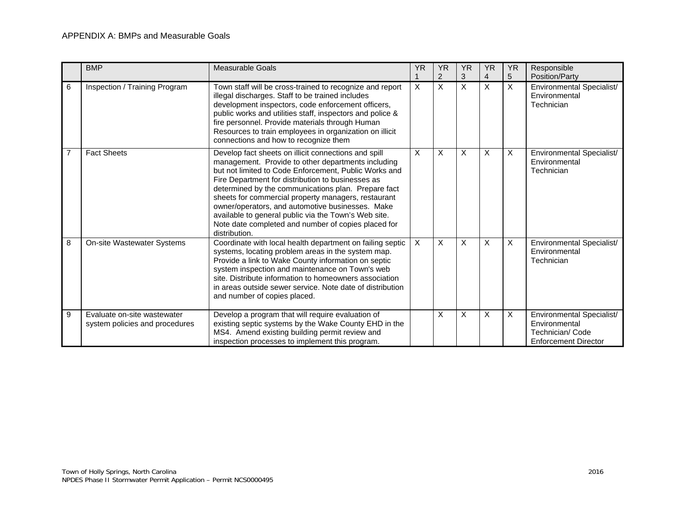#### APPENDIX A: BMPs and Measurable Goals

|                | <b>BMP</b>                                                    | <b>Measurable Goals</b>                                                                                                                                                                                                                                                                                                                                                                                                                                                                                                    | <b>YR</b> | <b>YR</b>      | <b>YR</b> | <b>YR</b>      | <b>YR</b>    | Responsible                                                                                   |
|----------------|---------------------------------------------------------------|----------------------------------------------------------------------------------------------------------------------------------------------------------------------------------------------------------------------------------------------------------------------------------------------------------------------------------------------------------------------------------------------------------------------------------------------------------------------------------------------------------------------------|-----------|----------------|-----------|----------------|--------------|-----------------------------------------------------------------------------------------------|
|                |                                                               |                                                                                                                                                                                                                                                                                                                                                                                                                                                                                                                            |           | $\overline{2}$ | 3         | $\overline{4}$ | 5            | Position/Party                                                                                |
| 6              | Inspection / Training Program                                 | Town staff will be cross-trained to recognize and report<br>illegal discharges. Staff to be trained includes<br>development inspectors, code enforcement officers,<br>public works and utilities staff, inspectors and police &<br>fire personnel. Provide materials through Human<br>Resources to train employees in organization on illicit<br>connections and how to recognize them                                                                                                                                     | $\sf X$   | $\times$       | X         | X              | $\times$     | Environmental Specialist/<br>Environmental<br>Technician                                      |
| $\overline{7}$ | <b>Fact Sheets</b>                                            | Develop fact sheets on illicit connections and spill<br>management. Provide to other departments including<br>but not limited to Code Enforcement. Public Works and<br>Fire Department for distribution to businesses as<br>determined by the communications plan. Prepare fact<br>sheets for commercial property managers, restaurant<br>owner/operators, and automotive businesses. Make<br>available to general public via the Town's Web site.<br>Note date completed and number of copies placed for<br>distribution. | X         | X              | X         | X              | $\mathsf{X}$ | Environmental Specialist/<br>Environmental<br>Technician                                      |
| 8              | On-site Wastewater Systems                                    | Coordinate with local health department on failing septic<br>systems, locating problem areas in the system map.<br>Provide a link to Wake County information on septic<br>system inspection and maintenance on Town's web<br>site. Distribute information to homeowners association<br>in areas outside sewer service. Note date of distribution<br>and number of copies placed.                                                                                                                                           | $\times$  | $\sf X$        | X         | X              | X            | Environmental Specialist/<br>Environmental<br>Technician                                      |
| 9              | Evaluate on-site wastewater<br>system policies and procedures | Develop a program that will require evaluation of<br>existing septic systems by the Wake County EHD in the<br>MS4. Amend existing building permit review and<br>inspection processes to implement this program.                                                                                                                                                                                                                                                                                                            |           | X              | X         | X              | X            | Environmental Specialist/<br>Environmental<br>Technician/ Code<br><b>Enforcement Director</b> |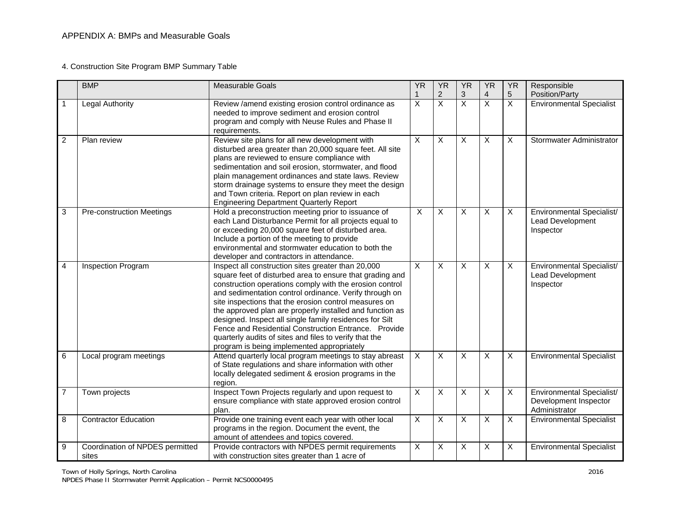#### 4. Construction Site Program BMP Summary Table

|                | <b>BMP</b>                               | <b>Measurable Goals</b>                                                                                                                                                                                                                                                                                                                                                                                                                                                                                                                                                             | <b>YR</b>                 | <b>YR</b>               | <b>YR</b>                 | <b>YR</b>                 | <b>YR</b>               | Responsible                                                         |
|----------------|------------------------------------------|-------------------------------------------------------------------------------------------------------------------------------------------------------------------------------------------------------------------------------------------------------------------------------------------------------------------------------------------------------------------------------------------------------------------------------------------------------------------------------------------------------------------------------------------------------------------------------------|---------------------------|-------------------------|---------------------------|---------------------------|-------------------------|---------------------------------------------------------------------|
|                |                                          |                                                                                                                                                                                                                                                                                                                                                                                                                                                                                                                                                                                     | 1                         | 2                       | $\ensuremath{\mathsf{3}}$ | $\overline{4}$            | 5                       | Position/Party                                                      |
|                | <b>Legal Authority</b>                   | Review /amend existing erosion control ordinance as<br>needed to improve sediment and erosion control<br>program and comply with Neuse Rules and Phase II<br>requirements.                                                                                                                                                                                                                                                                                                                                                                                                          | $\overline{\mathsf{x}}$   | $\overline{\mathsf{x}}$ | $\overline{\mathsf{x}}$   | $\overline{X}$            | $\overline{X}$          | <b>Environmental Specialist</b>                                     |
| $\overline{2}$ | Plan review                              | Review site plans for all new development with<br>disturbed area greater than 20,000 square feet. All site<br>plans are reviewed to ensure compliance with<br>sedimentation and soil erosion, stormwater, and flood<br>plain management ordinances and state laws. Review<br>storm drainage systems to ensure they meet the design<br>and Town criteria. Report on plan review in each<br><b>Engineering Department Quarterly Report</b>                                                                                                                                            | $\overline{\mathsf{x}}$   | X                       | $\overline{X}$            | $\overline{X}$            | X                       | Stormwater Administrator                                            |
| 3              | <b>Pre-construction Meetings</b>         | Hold a preconstruction meeting prior to issuance of<br>each Land Disturbance Permit for all projects equal to<br>or exceeding 20,000 square feet of disturbed area.<br>Include a portion of the meeting to provide<br>environmental and stormwater education to both the<br>developer and contractors in attendance.                                                                                                                                                                                                                                                                | $\overline{X}$            | X                       | X                         | $\overline{X}$            | $\overline{X}$          | Environmental Specialist/<br>Lead Development<br>Inspector          |
| 4              | Inspection Program                       | Inspect all construction sites greater than 20,000<br>square feet of disturbed area to ensure that grading and<br>construction operations comply with the erosion control<br>and sedimentation control ordinance. Verify through on<br>site inspections that the erosion control measures on<br>the approved plan are properly installed and function as<br>designed. Inspect all single family residences for Silt<br>Fence and Residential Construction Entrance. Provide<br>quarterly audits of sites and files to verify that the<br>program is being implemented appropriately | $\overline{X}$            | X                       | $\overline{X}$            | X                         | X                       | Environmental Specialist/<br>Lead Development<br>Inspector          |
| 6              | Local program meetings                   | Attend quarterly local program meetings to stay abreast<br>of State regulations and share information with other<br>locally delegated sediment & erosion programs in the<br>region.                                                                                                                                                                                                                                                                                                                                                                                                 | $\overline{X}$            | X                       | X                         | $\overline{X}$            | X                       | <b>Environmental Specialist</b>                                     |
| $\overline{7}$ | Town projects                            | Inspect Town Projects regularly and upon request to<br>ensure compliance with state approved erosion control<br>plan.                                                                                                                                                                                                                                                                                                                                                                                                                                                               | $\boldsymbol{\mathsf{X}}$ | X                       | $\mathsf{X}$              | $\boldsymbol{\mathsf{X}}$ | X                       | Environmental Specialist/<br>Development Inspector<br>Administrator |
| 8              | <b>Contractor Education</b>              | Provide one training event each year with other local<br>programs in the region. Document the event, the<br>amount of attendees and topics covered.                                                                                                                                                                                                                                                                                                                                                                                                                                 | $\overline{X}$            | X                       | $\overline{X}$            | X                         | $\overline{\mathsf{x}}$ | <b>Environmental Specialist</b>                                     |
| 9              | Coordination of NPDES permitted<br>sites | Provide contractors with NPDES permit requirements<br>with construction sites greater than 1 acre of                                                                                                                                                                                                                                                                                                                                                                                                                                                                                | $\overline{\mathsf{x}}$   | X                       | $\overline{X}$            | $\overline{\mathsf{x}}$   | $\overline{\mathsf{x}}$ | <b>Environmental Specialist</b>                                     |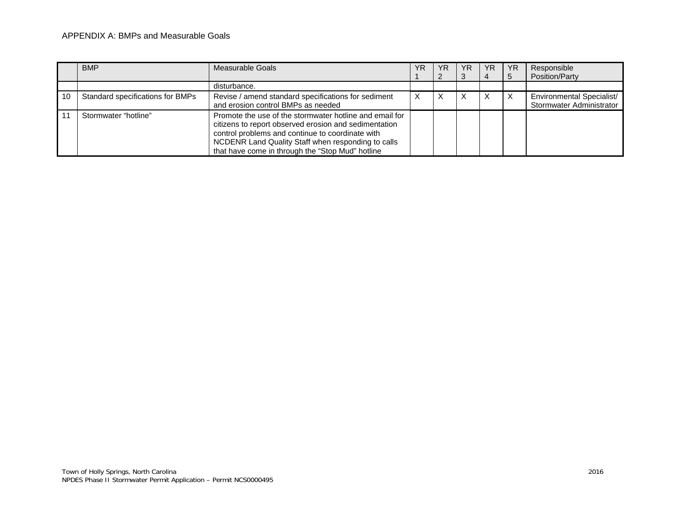#### APPENDIX A: BMPs and Measurable Goals

|    | <b>BMP</b>                       | Measurable Goals                                                                                                                                                                                                                                                               | ΥR | YR | YR. | <b>YR</b> | <b>YR</b> | Responsible               |
|----|----------------------------------|--------------------------------------------------------------------------------------------------------------------------------------------------------------------------------------------------------------------------------------------------------------------------------|----|----|-----|-----------|-----------|---------------------------|
|    |                                  |                                                                                                                                                                                                                                                                                |    |    |     |           | 5         | Position/Party            |
|    |                                  | disturbance.                                                                                                                                                                                                                                                                   |    |    |     |           |           |                           |
| 10 | Standard specifications for BMPs | Revise / amend standard specifications for sediment                                                                                                                                                                                                                            |    |    |     | X         | X         | Environmental Specialist/ |
|    |                                  | and erosion control BMPs as needed                                                                                                                                                                                                                                             |    |    |     |           |           | Stormwater Administrator  |
|    | Stormwater "hotline"             | Promote the use of the stormwater hotline and email for<br>citizens to report observed erosion and sedimentation<br>control problems and continue to coordinate with<br>NCDENR Land Quality Staff when responding to calls<br>that have come in through the "Stop Mud" hotline |    |    |     |           |           |                           |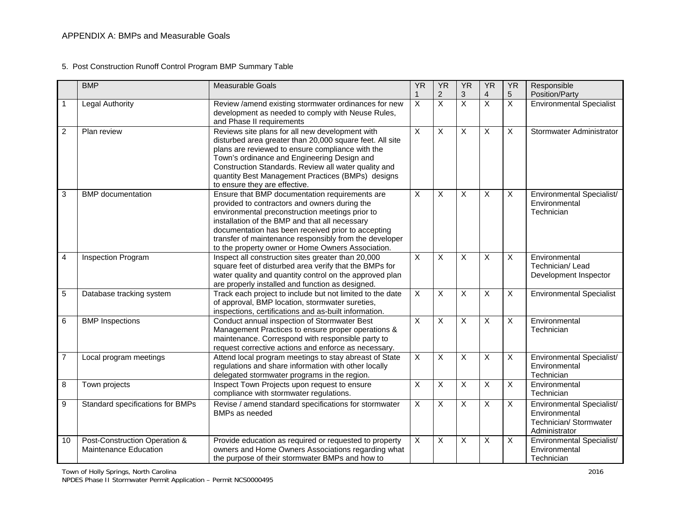| 5. Post Construction Runoff Control Program BMP Summary Table |  |  |
|---------------------------------------------------------------|--|--|
|                                                               |  |  |

|                | <b>BMP</b>                                             | <b>Measurable Goals</b>                                                                                                                                                                                                                                                                                                                                                   | <b>YR</b>               | <b>YR</b>               | <b>YR</b>               | <b>YR</b>                 | <b>YR</b>               | Responsible                                                                           |
|----------------|--------------------------------------------------------|---------------------------------------------------------------------------------------------------------------------------------------------------------------------------------------------------------------------------------------------------------------------------------------------------------------------------------------------------------------------------|-------------------------|-------------------------|-------------------------|---------------------------|-------------------------|---------------------------------------------------------------------------------------|
|                |                                                        |                                                                                                                                                                                                                                                                                                                                                                           | 1                       | $\overline{c}$          | $\sqrt{3}$              | $\overline{4}$            | 5                       | Position/Party                                                                        |
|                | <b>Legal Authority</b>                                 | Review /amend existing stormwater ordinances for new<br>development as needed to comply with Neuse Rules,<br>and Phase II requirements                                                                                                                                                                                                                                    | $\overline{X}$          | $\overline{\mathsf{x}}$ | $\overline{X}$          | $\overline{\mathsf{x}}$   | $\overline{X}$          | <b>Environmental Specialist</b>                                                       |
| 2              | Plan review                                            | Reviews site plans for all new development with<br>disturbed area greater than 20,000 square feet. All site<br>plans are reviewed to ensure compliance with the<br>Town's ordinance and Engineering Design and<br>Construction Standards. Review all water quality and<br>quantity Best Management Practices (BMPs) designs<br>to ensure they are effective.              | $\overline{X}$          | X                       | $\overline{X}$          | $\overline{X}$            | X                       | Stormwater Administrator                                                              |
| 3              | <b>BMP</b> documentation                               | Ensure that BMP documentation requirements are<br>provided to contractors and owners during the<br>environmental preconstruction meetings prior to<br>installation of the BMP and that all necessary<br>documentation has been received prior to accepting<br>transfer of maintenance responsibly from the developer<br>to the property owner or Home Owners Association. | X                       | X                       | X                       | $\boldsymbol{\mathsf{X}}$ | X                       | Environmental Specialist/<br>Environmental<br>Technician                              |
| $\overline{4}$ | Inspection Program                                     | Inspect all construction sites greater than 20,000<br>square feet of disturbed area verify that the BMPs for<br>water quality and quantity control on the approved plan<br>are properly installed and function as designed.                                                                                                                                               | $\overline{\mathsf{x}}$ | $\overline{\mathsf{x}}$ | $\overline{X}$          | $\overline{X}$            | X                       | Environmental<br>Technician/Lead<br>Development Inspector                             |
| 5              | Database tracking system                               | Track each project to include but not limited to the date<br>of approval, BMP location, stormwater sureties,<br>inspections, certifications and as-built information.                                                                                                                                                                                                     | $\overline{\mathsf{x}}$ | X                       | $\overline{X}$          | $\overline{X}$            | X                       | <b>Environmental Specialist</b>                                                       |
| 6              | <b>BMP</b> Inspections                                 | Conduct annual inspection of Stormwater Best<br>Management Practices to ensure proper operations &<br>maintenance. Correspond with responsible party to<br>request corrective actions and enforce as necessary.                                                                                                                                                           | $\overline{\mathsf{x}}$ | $\overline{\mathsf{x}}$ | $\overline{X}$          | $\overline{\mathsf{x}}$   | $\overline{\mathsf{x}}$ | Environmental<br>Technician                                                           |
| $\overline{7}$ | Local program meetings                                 | Attend local program meetings to stay abreast of State<br>regulations and share information with other locally<br>delegated stormwater programs in the region.                                                                                                                                                                                                            | $\overline{\mathsf{x}}$ | X                       | X                       | X                         | X                       | Environmental Specialist/<br>Environmental<br>Technician                              |
| 8              | Town projects                                          | Inspect Town Projects upon request to ensure<br>compliance with stormwater regulations.                                                                                                                                                                                                                                                                                   | $\overline{X}$          | X                       | $\overline{\mathsf{x}}$ | $\overline{X}$            | X                       | Environmental<br>Technician                                                           |
| 9              | Standard specifications for BMPs                       | Revise / amend standard specifications for stormwater<br>BMPs as needed                                                                                                                                                                                                                                                                                                   | $\overline{X}$          | $\overline{\mathsf{x}}$ | $\overline{X}$          | $\overline{X}$            | $\overline{\mathsf{x}}$ | Environmental Specialist/<br>Environmental<br>Technician/ Stormwater<br>Administrator |
| 10             | Post-Construction Operation &<br>Maintenance Education | Provide education as required or requested to property<br>owners and Home Owners Associations regarding what<br>the purpose of their stormwater BMPs and how to                                                                                                                                                                                                           | $\overline{X}$          | X                       | $\mathsf{X}$            | $\boldsymbol{\mathsf{X}}$ | X                       | Environmental Specialist/<br>Environmental<br>Technician                              |

Town of Holly Springs, North Carolina 2016 NPDES Phase II Stormwater Permit Application – Permit NCS0000495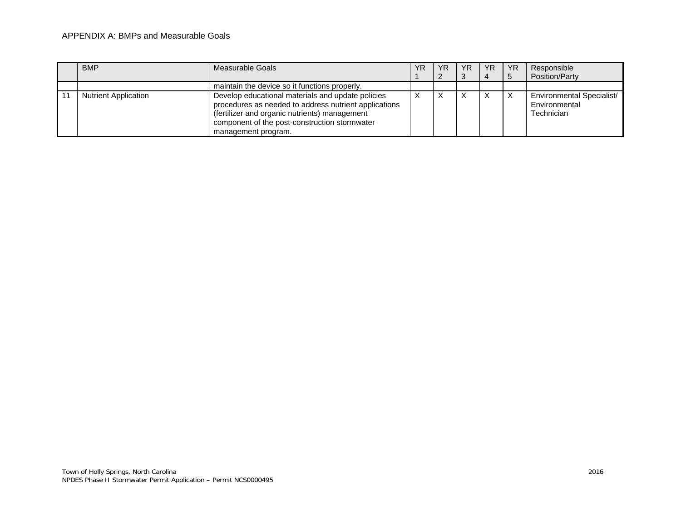#### APPENDIX A: BMPs and Measurable Goals

| <b>BMP</b>                  | Measurable Goals                                                                                                                                                                                                                    | ΥR | ΥR | YR | <b>YR</b> | <b>YR</b> | Responsible                                              |
|-----------------------------|-------------------------------------------------------------------------------------------------------------------------------------------------------------------------------------------------------------------------------------|----|----|----|-----------|-----------|----------------------------------------------------------|
|                             |                                                                                                                                                                                                                                     |    |    |    |           | 5         | Position/Party                                           |
|                             | maintain the device so it functions properly.                                                                                                                                                                                       |    |    |    |           |           |                                                          |
| <b>Nutrient Application</b> | Develop educational materials and update policies<br>procedures as needed to address nutrient applications<br>(fertilizer and organic nutrients) management<br>component of the post-construction stormwater<br>management program. |    |    |    |           | X         | Environmental Specialist/<br>Environmental<br>Technician |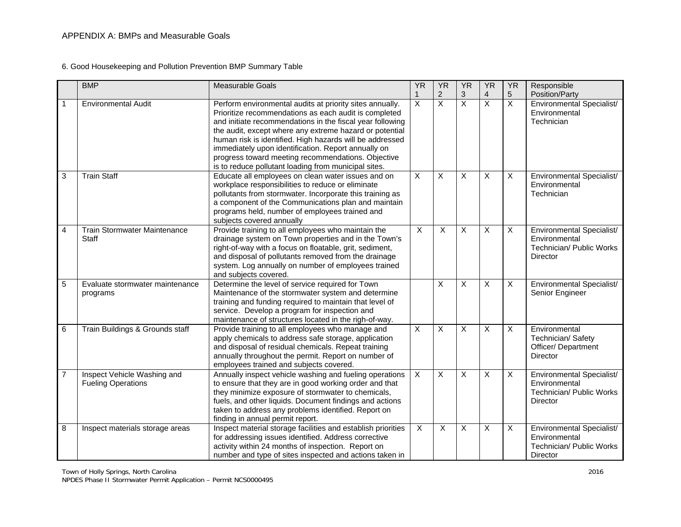6. Good Housekeeping and Pollution Prevention BMP Summary Table

|                | <b>BMP</b>                                               | <b>Measurable Goals</b>                                                                                                                                                                                                                                                                                                                                                                                                                                                    | <b>YR</b>                     | <b>YR</b>                        | <b>YR</b>               | <b>YR</b>                    | <b>YR</b>        | Responsible                                                                               |
|----------------|----------------------------------------------------------|----------------------------------------------------------------------------------------------------------------------------------------------------------------------------------------------------------------------------------------------------------------------------------------------------------------------------------------------------------------------------------------------------------------------------------------------------------------------------|-------------------------------|----------------------------------|-------------------------|------------------------------|------------------|-------------------------------------------------------------------------------------------|
|                | <b>Environmental Audit</b>                               | Perform environmental audits at priority sites annually.<br>Prioritize recommendations as each audit is completed<br>and initiate recommendations in the fiscal year following<br>the audit, except where any extreme hazard or potential<br>human risk is identified. High hazards will be addressed<br>immediately upon identification. Report annually on<br>progress toward meeting recommendations. Objective<br>is to reduce pollutant loading from municipal sites. | $\mathbf 1$<br>$\overline{X}$ | $\overline{2}$<br>$\overline{X}$ | 3<br>$\overline{X}$     | 4<br>$\overline{\mathsf{x}}$ | 5<br>$\mathsf X$ | Position/Party<br>Environmental Specialist/<br>Environmental<br>Technician                |
| 3              | <b>Train Staff</b>                                       | Educate all employees on clean water issues and on<br>workplace responsibilities to reduce or eliminate<br>pollutants from stormwater. Incorporate this training as<br>a component of the Communications plan and maintain<br>programs held, number of employees trained and<br>subjects covered annually                                                                                                                                                                  | X                             | X                                | X                       | X                            | X                | Environmental Specialist/<br>Environmental<br>Technician                                  |
| 4              | Train Stormwater Maintenance<br>Staff                    | Provide training to all employees who maintain the<br>drainage system on Town properties and in the Town's<br>right-of-way with a focus on floatable, grit, sediment,<br>and disposal of pollutants removed from the drainage<br>system. Log annually on number of employees trained<br>and subjects covered.                                                                                                                                                              | $\overline{X}$                | $\overline{X}$                   | $\overline{\mathsf{x}}$ | Χ                            | X                | Environmental Specialist/<br>Environmental<br>Technician/ Public Works<br>Director        |
| 5              | Evaluate stormwater maintenance<br>programs              | Determine the level of service required for Town<br>Maintenance of the stormwater system and determine<br>training and funding required to maintain that level of<br>service. Develop a program for inspection and<br>maintenance of structures located in the righ-of-way.                                                                                                                                                                                                |                               | X                                | X                       | Χ                            | $\mathsf{X}$     | Environmental Specialist/<br>Senior Engineer                                              |
| 6              | Train Buildings & Grounds staff                          | Provide training to all employees who manage and<br>apply chemicals to address safe storage, application<br>and disposal of residual chemicals. Repeat training<br>annually throughout the permit. Report on number of<br>employees trained and subjects covered.                                                                                                                                                                                                          | $\overline{X}$                | $\overline{X}$                   | $\overline{X}$          | X                            | $\mathsf{X}$     | Environmental<br>Technician/ Safety<br>Officer/ Department<br><b>Director</b>             |
| $\overline{7}$ | Inspect Vehicle Washing and<br><b>Fueling Operations</b> | Annually inspect vehicle washing and fueling operations<br>to ensure that they are in good working order and that<br>they minimize exposure of stormwater to chemicals,<br>fuels, and other liquids. Document findings and actions<br>taken to address any problems identified. Report on<br>finding in annual permit report.                                                                                                                                              | $\pmb{\times}$                | $\pmb{\times}$                   | $\pmb{\times}$          | Χ                            | X                | Environmental Specialist/<br>Environmental<br>Technician/ Public Works<br><b>Director</b> |
| 8              | Inspect materials storage areas                          | Inspect material storage facilities and establish priorities<br>for addressing issues identified. Address corrective<br>activity within 24 months of inspection. Report on<br>number and type of sites inspected and actions taken in                                                                                                                                                                                                                                      | $\overline{X}$                | X                                | $\overline{X}$          | X                            | $\overline{X}$   | Environmental Specialist/<br>Environmental<br>Technician/ Public Works<br>Director        |